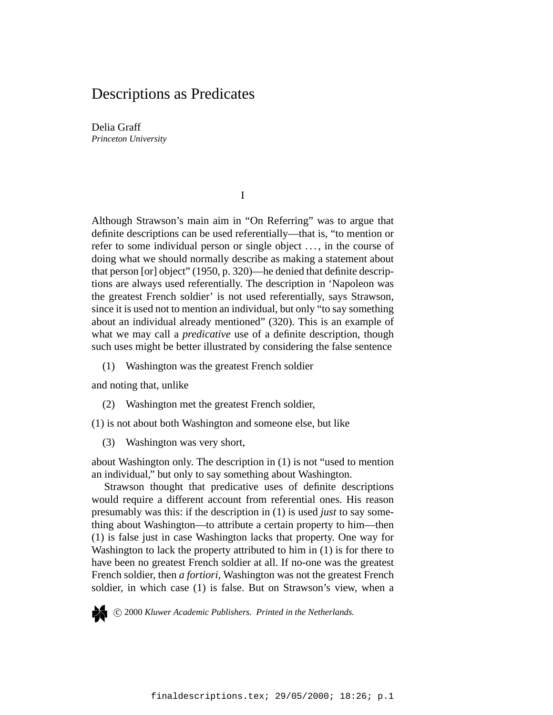# Descriptions as Predicates

Delia Graff *Princeton University*

I

Although Strawson's main aim in "On Referring" was to argue that definite descriptions can be used referentially—that is, "to mention or refer to some individual person or single object . . . , in the course of doing what we should normally describe as making a statement about that person [or] object" (1950, p. 320)—he denied that definite descriptions are always used referentially. The description in 'Napoleon was the greatest French soldier' is not used referentially, says Strawson, since it is used not to mention an individual, but only "to say something about an individual already mentioned" (320). This is an example of what we may call a *predicative* use of a definite description, though such uses might be better illustrated by considering the false sentence

(1) Washington was the greatest French soldier

and noting that, unlike

- (2) Washington met the greatest French soldier,
- (1) is not about both Washington and someone else, but like
	- (3) Washington was very short,

about Washington only. The description in (1) is not "used to mention an individual," but only to say something about Washington.

Strawson thought that predicative uses of definite descriptions would require a different account from referential ones. His reason presumably was this: if the description in (1) is used *just* to say something about Washington—to attribute a certain property to him—then (1) is false just in case Washington lacks that property. One way for Washington to lack the property attributed to him in (1) is for there to have been no greatest French soldier at all. If no-one was the greatest French soldier, then *a fortiori*, Washington was not the greatest French soldier, in which case (1) is false. But on Strawson's view, when a

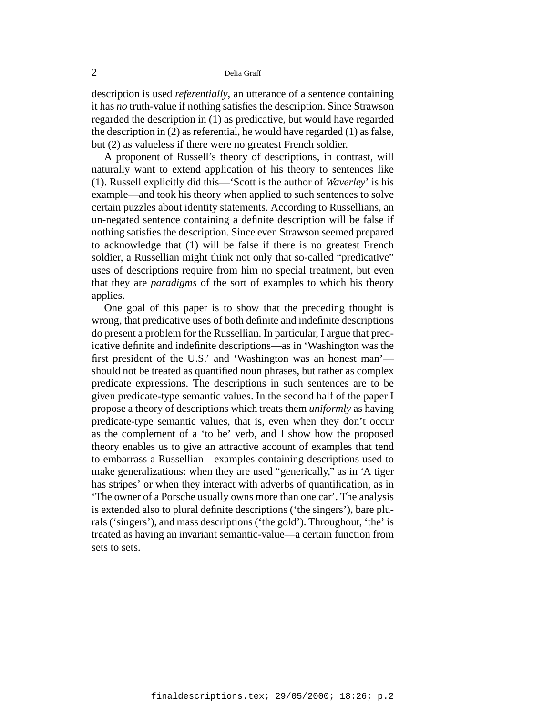description is used *referentially*, an utterance of a sentence containing it has *no* truth-value if nothing satisfies the description. Since Strawson regarded the description in (1) as predicative, but would have regarded the description in (2) as referential, he would have regarded (1) as false, but (2) as valueless if there were no greatest French soldier.

A proponent of Russell's theory of descriptions, in contrast, will naturally want to extend application of his theory to sentences like (1). Russell explicitly did this—'Scott is the author of *Waverley*' is his example—and took his theory when applied to such sentences to solve certain puzzles about identity statements. According to Russellians, an un-negated sentence containing a definite description will be false if nothing satisfies the description. Since even Strawson seemed prepared to acknowledge that (1) will be false if there is no greatest French soldier, a Russellian might think not only that so-called "predicative" uses of descriptions require from him no special treatment, but even that they are *paradigms* of the sort of examples to which his theory applies.

One goal of this paper is to show that the preceding thought is wrong, that predicative uses of both definite and indefinite descriptions do present a problem for the Russellian. In particular, I argue that predicative definite and indefinite descriptions—as in 'Washington was the first president of the U.S.' and 'Washington was an honest man' should not be treated as quantified noun phrases, but rather as complex predicate expressions. The descriptions in such sentences are to be given predicate-type semantic values. In the second half of the paper I propose a theory of descriptions which treats them *uniformly* as having predicate-type semantic values, that is, even when they don't occur as the complement of a 'to be' verb, and I show how the proposed theory enables us to give an attractive account of examples that tend to embarrass a Russellian—examples containing descriptions used to make generalizations: when they are used "generically," as in 'A tiger has stripes' or when they interact with adverbs of quantification, as in 'The owner of a Porsche usually owns more than one car'. The analysis is extended also to plural definite descriptions ('the singers'), bare plurals ('singers'), and mass descriptions ('the gold'). Throughout, 'the' is treated as having an invariant semantic-value—a certain function from sets to sets.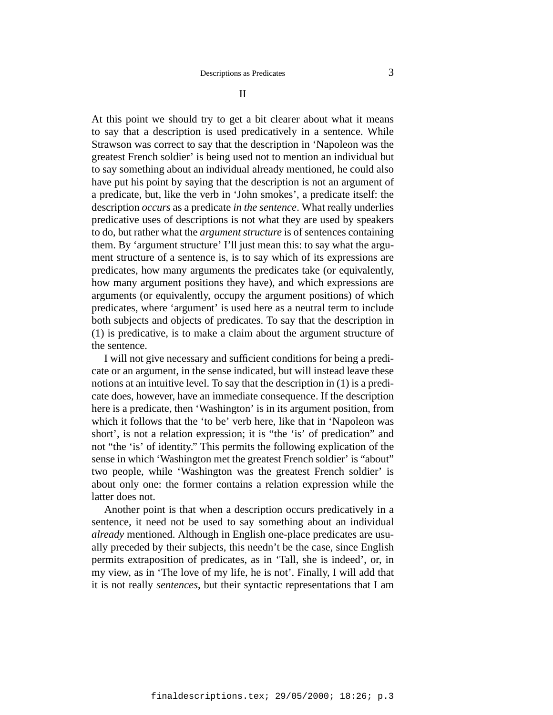II

At this point we should try to get a bit clearer about what it means to say that a description is used predicatively in a sentence. While Strawson was correct to say that the description in 'Napoleon was the greatest French soldier' is being used not to mention an individual but to say something about an individual already mentioned, he could also have put his point by saying that the description is not an argument of a predicate, but, like the verb in 'John smokes', a predicate itself: the description *occurs* as a predicate *in the sentence*. What really underlies predicative uses of descriptions is not what they are used by speakers to do, but rather what the *argument structure* is of sentences containing them. By 'argument structure' I'll just mean this: to say what the argument structure of a sentence is, is to say which of its expressions are predicates, how many arguments the predicates take (or equivalently, how many argument positions they have), and which expressions are arguments (or equivalently, occupy the argument positions) of which predicates, where 'argument' is used here as a neutral term to include both subjects and objects of predicates. To say that the description in (1) is predicative, is to make a claim about the argument structure of the sentence.

I will not give necessary and sufficient conditions for being a predicate or an argument, in the sense indicated, but will instead leave these notions at an intuitive level. To say that the description in (1) is a predicate does, however, have an immediate consequence. If the description here is a predicate, then 'Washington' is in its argument position, from which it follows that the 'to be' verb here, like that in 'Napoleon was short', is not a relation expression; it is "the 'is' of predication" and not "the 'is' of identity." This permits the following explication of the sense in which 'Washington met the greatest French soldier' is "about" two people, while 'Washington was the greatest French soldier' is about only one: the former contains a relation expression while the latter does not.

Another point is that when a description occurs predicatively in a sentence, it need not be used to say something about an individual *already* mentioned. Although in English one-place predicates are usually preceded by their subjects, this needn't be the case, since English permits extraposition of predicates, as in 'Tall, she is indeed', or, in my view, as in 'The love of my life, he is not'. Finally, I will add that it is not really *sentences*, but their syntactic representations that I am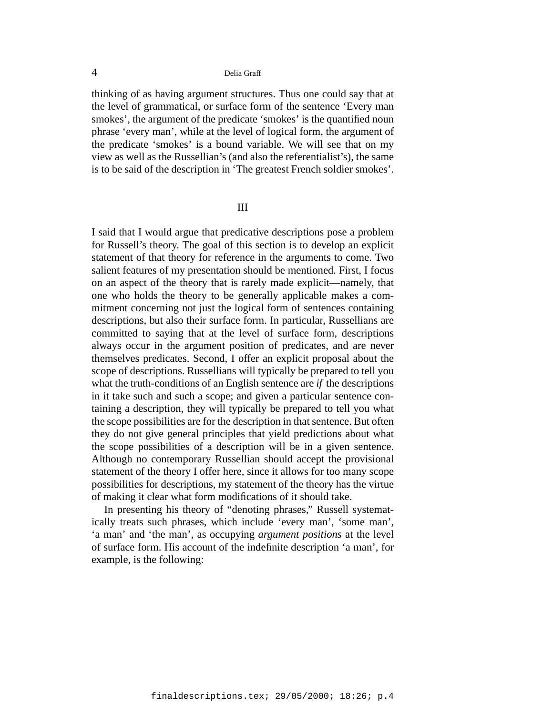thinking of as having argument structures. Thus one could say that at the level of grammatical, or surface form of the sentence 'Every man smokes', the argument of the predicate 'smokes' is the quantified noun phrase 'every man', while at the level of logical form, the argument of the predicate 'smokes' is a bound variable. We will see that on my view as well as the Russellian's (and also the referentialist's), the same is to be said of the description in 'The greatest French soldier smokes'.

#### III

I said that I would argue that predicative descriptions pose a problem for Russell's theory. The goal of this section is to develop an explicit statement of that theory for reference in the arguments to come. Two salient features of my presentation should be mentioned. First, I focus on an aspect of the theory that is rarely made explicit—namely, that one who holds the theory to be generally applicable makes a commitment concerning not just the logical form of sentences containing descriptions, but also their surface form. In particular, Russellians are committed to saying that at the level of surface form, descriptions always occur in the argument position of predicates, and are never themselves predicates. Second, I offer an explicit proposal about the scope of descriptions. Russellians will typically be prepared to tell you what the truth-conditions of an English sentence are *if* the descriptions in it take such and such a scope; and given a particular sentence containing a description, they will typically be prepared to tell you what the scope possibilities are for the description in that sentence. But often they do not give general principles that yield predictions about what the scope possibilities of a description will be in a given sentence. Although no contemporary Russellian should accept the provisional statement of the theory I offer here, since it allows for too many scope possibilities for descriptions, my statement of the theory has the virtue of making it clear what form modifications of it should take.

In presenting his theory of "denoting phrases," Russell systematically treats such phrases, which include 'every man', 'some man', 'a man' and 'the man', as occupying *argument positions* at the level of surface form. His account of the indefinite description 'a man', for example, is the following: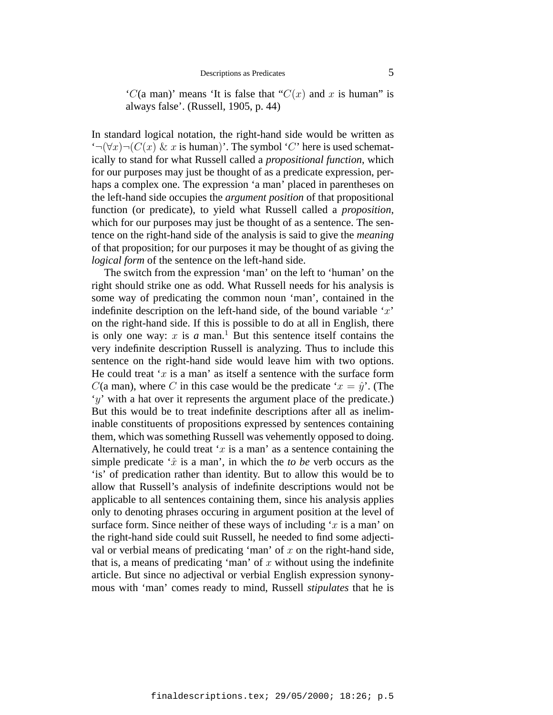'C(a man)' means 'It is false that "C(x) and x is human" is always false'. (Russell, 1905, p. 44)

In standard logical notation, the right-hand side would be written as  $\mathcal{L}(\forall x) \neg (C(x) \& x$  is human)'. The symbol 'C' here is used schematically to stand for what Russell called a *propositional function*, which for our purposes may just be thought of as a predicate expression, perhaps a complex one. The expression 'a man' placed in parentheses on the left-hand side occupies the *argument position* of that propositional function (or predicate), to yield what Russell called a *proposition*, which for our purposes may just be thought of as a sentence. The sentence on the right-hand side of the analysis is said to give the *meaning* of that proposition; for our purposes it may be thought of as giving the *logical form* of the sentence on the left-hand side.

The switch from the expression 'man' on the left to 'human' on the right should strike one as odd. What Russell needs for his analysis is some way of predicating the common noun 'man', contained in the indefinite description on the left-hand side, of the bound variable  $x'$ on the right-hand side. If this is possible to do at all in English, there is only one way:  $x$  is  $a$  man.<sup>1</sup> But this sentence itself contains the very indefinite description Russell is analyzing. Thus to include this sentence on the right-hand side would leave him with two options. He could treat 'x is a man' as itself a sentence with the surface form  $C$ (a man), where C in this case would be the predicate ' $x = \hat{y}$ '. (The  $'y'$  with a hat over it represents the argument place of the predicate.) But this would be to treat indefinite descriptions after all as ineliminable constituents of propositions expressed by sentences containing them, which was something Russell was vehemently opposed to doing. Alternatively, he could treat 'x is a man' as a sentence containing the simple predicate  $\hat{x}$  is a man', in which the *to be* verb occurs as the 'is' of predication rather than identity. But to allow this would be to allow that Russell's analysis of indefinite descriptions would not be applicable to all sentences containing them, since his analysis applies only to denoting phrases occuring in argument position at the level of surface form. Since neither of these ways of including ' $x$  is a man' on the right-hand side could suit Russell, he needed to find some adjectival or verbial means of predicating 'man' of  $x$  on the right-hand side, that is, a means of predicating 'man' of  $x$  without using the indefinite article. But since no adjectival or verbial English expression synonymous with 'man' comes ready to mind, Russell *stipulates* that he is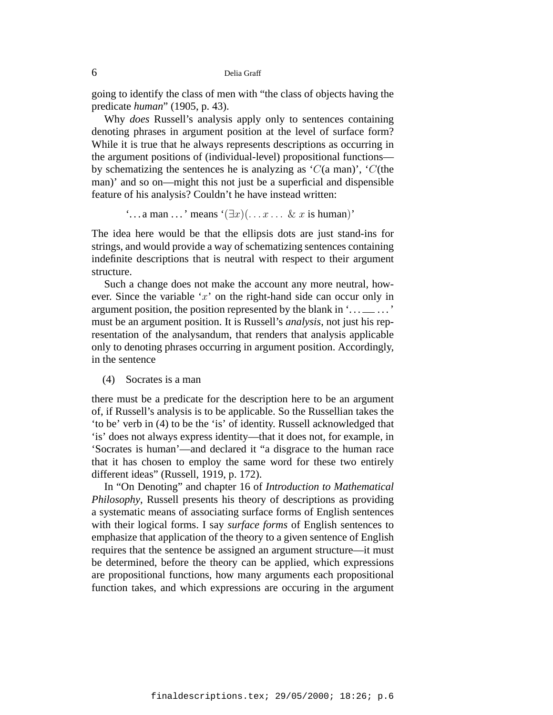going to identify the class of men with "the class of objects having the predicate *human*" (1905, p. 43).

Why *does* Russell's analysis apply only to sentences containing denoting phrases in argument position at the level of surface form? While it is true that he always represents descriptions as occurring in the argument positions of (individual-level) propositional functions by schematizing the sentences he is analyzing as  $'C$ (a man)',  $'C$ (the man)' and so on—might this not just be a superficial and dispensible feature of his analysis? Couldn't he have instead written:

 $\ldots$  a man  $\ldots$  ' means  $(\exists x)(\ldots x \ldots \& x$  is human)'

The idea here would be that the ellipsis dots are just stand-ins for strings, and would provide a way of schematizing sentences containing indefinite descriptions that is neutral with respect to their argument structure.

Such a change does not make the account any more neutral, however. Since the variable ' $x$ ' on the right-hand side can occur only in argument position, the position represented by the blank in  $\dots \dots$ ...' must be an argument position. It is Russell's *analysis*, not just his representation of the analysandum, that renders that analysis applicable only to denoting phrases occurring in argument position. Accordingly, in the sentence

(4) Socrates is a man

there must be a predicate for the description here to be an argument of, if Russell's analysis is to be applicable. So the Russellian takes the 'to be' verb in (4) to be the 'is' of identity. Russell acknowledged that 'is' does not always express identity—that it does not, for example, in 'Socrates is human'—and declared it "a disgrace to the human race that it has chosen to employ the same word for these two entirely different ideas" (Russell, 1919, p. 172).

In "On Denoting" and chapter 16 of *Introduction to Mathematical Philosophy*, Russell presents his theory of descriptions as providing a systematic means of associating surface forms of English sentences with their logical forms. I say *surface forms* of English sentences to emphasize that application of the theory to a given sentence of English requires that the sentence be assigned an argument structure—it must be determined, before the theory can be applied, which expressions are propositional functions, how many arguments each propositional function takes, and which expressions are occuring in the argument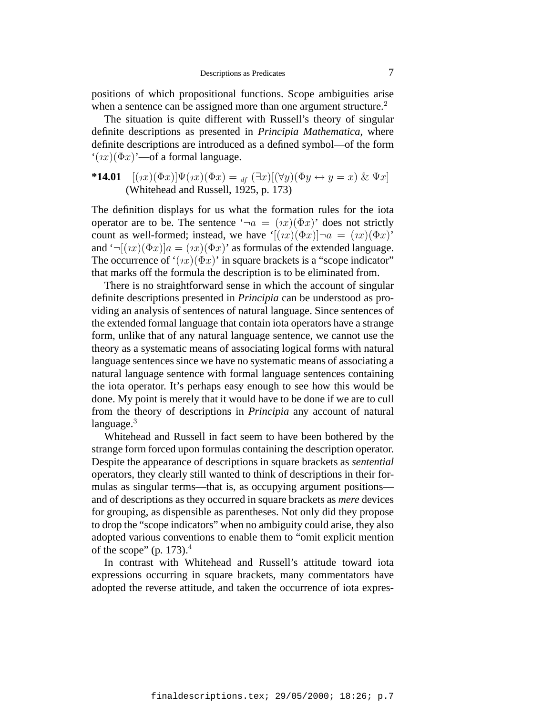positions of which propositional functions. Scope ambiguities arise when a sentence can be assigned more than one argument structure.<sup>2</sup>

The situation is quite different with Russell's theory of singular definite descriptions as presented in *Principia Mathematica*, where definite descriptions are introduced as a defined symbol—of the form  $f(x)(\Phi x)$ '—of a formal language.

# **\*14.01**  $[(\imath x)(\Phi x)]\Psi(\imath x)(\Phi x) =_{df}(\exists x)[(\forall y)(\Phi y \leftrightarrow y = x) \& \Psi x]$ (Whitehead and Russell, 1925, p. 173)

The definition displays for us what the formation rules for the iota operator are to be. The sentence ' $\neg a = (ix)(\Phi x)$ ' does not strictly count as well-formed; instead, we have ' $[(ix)(\Phi x)]\neg a = (ix)(\Phi x)$ ' and ' $\neg[(\imath x)(\Phi x)]a = (\imath x)(\Phi x)$ ' as formulas of the extended language. The occurrence of ' $(x)(\Phi x)$ ' in square brackets is a "scope indicator" that marks off the formula the description is to be eliminated from.

There is no straightforward sense in which the account of singular definite descriptions presented in *Principia* can be understood as providing an analysis of sentences of natural language. Since sentences of the extended formal language that contain iota operators have a strange form, unlike that of any natural language sentence, we cannot use the theory as a systematic means of associating logical forms with natural language sentences since we have no systematic means of associating a natural language sentence with formal language sentences containing the iota operator. It's perhaps easy enough to see how this would be done. My point is merely that it would have to be done if we are to cull from the theory of descriptions in *Principia* any account of natural language. $3$ 

Whitehead and Russell in fact seem to have been bothered by the strange form forced upon formulas containing the description operator. Despite the appearance of descriptions in square brackets as *sentential* operators, they clearly still wanted to think of descriptions in their formulas as singular terms—that is, as occupying argument positions and of descriptions as they occurred in square brackets as *mere* devices for grouping, as dispensible as parentheses. Not only did they propose to drop the "scope indicators" when no ambiguity could arise, they also adopted various conventions to enable them to "omit explicit mention of the scope" (p. 173). $4$ 

In contrast with Whitehead and Russell's attitude toward iota expressions occurring in square brackets, many commentators have adopted the reverse attitude, and taken the occurrence of iota expres-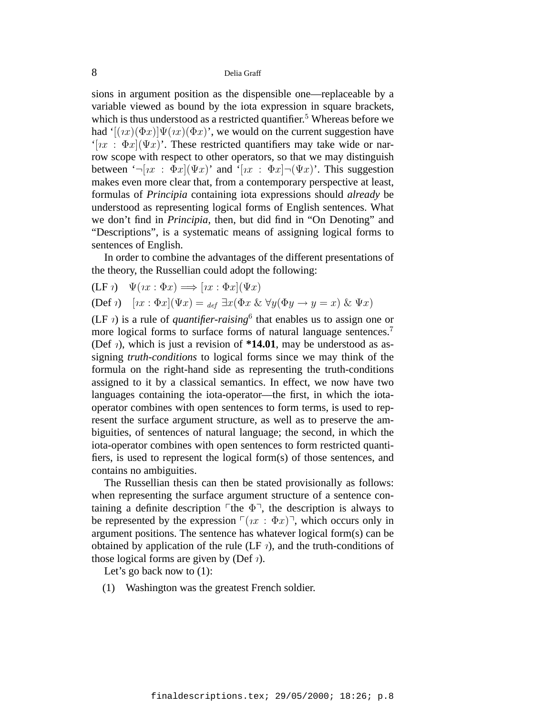sions in argument position as the dispensible one—replaceable by a variable viewed as bound by the iota expression in square brackets, which is thus understood as a restricted quantifier.<sup>5</sup> Whereas before we had ' $[(nx)(\Phi x)]\Psi(nx)(\Phi x)$ ', we would on the current suggestion have '[ $ix : \Phi x$ ]( $\Psi x$ )'. These restricted quantifiers may take wide or narrow scope with respect to other operators, so that we may distinguish between  $\left( \neg [nx : \Phi x](\Psi x) \right)$  and  $\left[ nx : \Phi x \right] \neg (\Psi x)$ . This suggestion makes even more clear that, from a contemporary perspective at least, formulas of *Principia* containing iota expressions should *already* be understood as representing logical forms of English sentences. What we don't find in *Principia*, then, but did find in "On Denoting" and "Descriptions", is a systematic means of assigning logical forms to sentences of English.

In order to combine the advantages of the different presentations of the theory, the Russellian could adopt the following:

$$
\begin{aligned} \n(\text{LF } \eta) \quad \Psi(\eta x : \Phi x) &\Longrightarrow [\eta x : \Phi x](\Psi x) \\ \n(\text{Def } \eta) \quad [\eta x : \Phi x](\Psi x) &= \text{def } \exists x (\Phi x \& \forall y (\Phi y \to y = x) \& \Psi x) \n\end{aligned}
$$

(LF  $\eta$ ) is a rule of *quantifier-raising*<sup>6</sup> that enables us to assign one or more logical forms to surface forms of natural language sentences.<sup>7</sup> (Def  $\eta$ ), which is just a revision of \*14.01, may be understood as assigning *truth-conditions* to logical forms since we may think of the formula on the right-hand side as representing the truth-conditions assigned to it by a classical semantics. In effect, we now have two languages containing the iota-operator—the first, in which the iotaoperator combines with open sentences to form terms, is used to represent the surface argument structure, as well as to preserve the ambiguities, of sentences of natural language; the second, in which the iota-operator combines with open sentences to form restricted quantifiers, is used to represent the logical form(s) of those sentences, and contains no ambiguities.

The Russellian thesis can then be stated provisionally as follows: when representing the surface argument structure of a sentence containing a definite description  $\ulcorner$  the  $\Phi \urcorner$ , the description is always to be represented by the expression  $\lceil (rx : \Phi x) \rceil$ , which occurs only in argument positions. The sentence has whatever logical form(s) can be obtained by application of the rule (LF  $\eta$ ), and the truth-conditions of those logical forms are given by (Def  $\eta$ ).

Let's go back now to  $(1)$ :

(1) Washington was the greatest French soldier.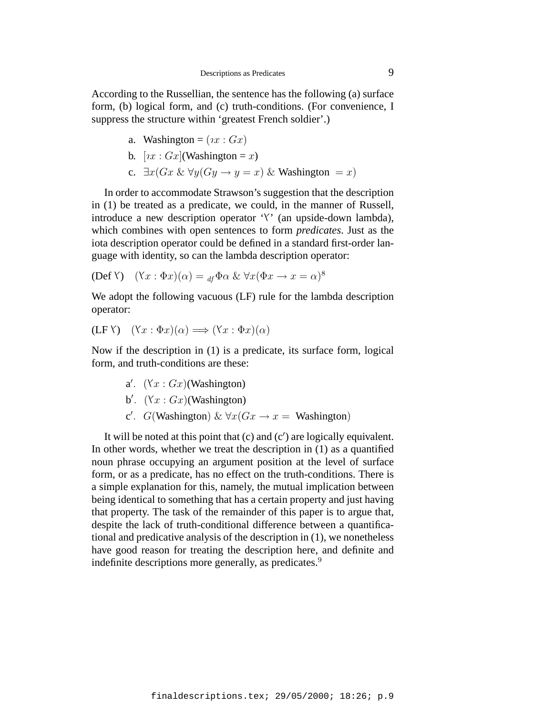According to the Russellian, the sentence has the following (a) surface form, (b) logical form, and (c) truth-conditions. (For convenience, I suppress the structure within 'greatest French soldier'.)

a. Washington = 
$$
(ix : Gx)
$$

b. 
$$
[nx : Gx]
$$
(Washington = x)

c.  $\exists x(Gx \& \forall y(Gy \rightarrow y = x) \&$  Washington = x)

In order to accommodate Strawson's suggestion that the description in (1) be treated as a predicate, we could, in the manner of Russell, introduce a new description operator ' $\Upsilon$ ' (an upside-down lambda), which combines with open sentences to form *predicates*. Just as the iota description operator could be defined in a standard first-order language with identity, so can the lambda description operator:

$$
(\text{Def } Y) \quad (\forall x : \Phi x)(\alpha) = \text{df } \Phi \alpha \& \forall x (\Phi x \to x = \alpha)^8
$$

We adopt the following vacuous (LF) rule for the lambda description operator:

$$
(LF V) \quad (Yx : \Phi x)(\alpha) \Longrightarrow (Yx : \Phi x)(\alpha)
$$

Now if the description in (1) is a predicate, its surface form, logical form, and truth-conditions are these:

\n- a'. 
$$
(Xx : Gx)
$$
 (Washington)
\n- b'.  $(Xx : Gx)$  (Washington)
\n- c'.  $G$  (Washington)  $\& \forall x (Gx \rightarrow x =$  Washington)
\n

It will be noted at this point that (c) and (c ) are logically equivalent. In other words, whether we treat the description in (1) as a quantified noun phrase occupying an argument position at the level of surface form, or as a predicate, has no effect on the truth-conditions. There is a simple explanation for this, namely, the mutual implication between being identical to something that has a certain property and just having that property. The task of the remainder of this paper is to argue that, despite the lack of truth-conditional difference between a quantificational and predicative analysis of the description in (1), we nonetheless have good reason for treating the description here, and definite and indefinite descriptions more generally, as predicates.<sup>9</sup>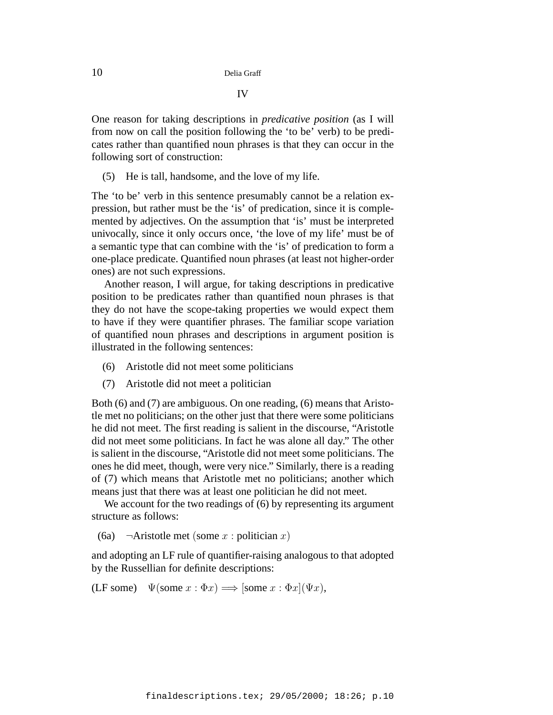One reason for taking descriptions in *predicative position* (as I will from now on call the position following the 'to be' verb) to be predicates rather than quantified noun phrases is that they can occur in the following sort of construction:

(5) He is tall, handsome, and the love of my life.

The 'to be' verb in this sentence presumably cannot be a relation expression, but rather must be the 'is' of predication, since it is complemented by adjectives. On the assumption that 'is' must be interpreted univocally, since it only occurs once, 'the love of my life' must be of a semantic type that can combine with the 'is' of predication to form a one-place predicate. Quantified noun phrases (at least not higher-order ones) are not such expressions.

Another reason, I will argue, for taking descriptions in predicative position to be predicates rather than quantified noun phrases is that they do not have the scope-taking properties we would expect them to have if they were quantifier phrases. The familiar scope variation of quantified noun phrases and descriptions in argument position is illustrated in the following sentences:

- (6) Aristotle did not meet some politicians
- (7) Aristotle did not meet a politician

Both (6) and (7) are ambiguous. On one reading, (6) means that Aristotle met no politicians; on the other just that there were some politicians he did not meet. The first reading is salient in the discourse, "Aristotle did not meet some politicians. In fact he was alone all day." The other is salient in the discourse, "Aristotle did not meet some politicians. The ones he did meet, though, were very nice." Similarly, there is a reading of (7) which means that Aristotle met no politicians; another which means just that there was at least one politician he did not meet.

We account for the two readings of  $(6)$  by representing its argument structure as follows:

(6a)  $\neg$ Aristotle met (some x : politician x)

and adopting an LF rule of quantifier-raising analogous to that adopted by the Russellian for definite descriptions:

(LF some)  $\Psi(\text{some } x : \Phi x) \Longrightarrow [\text{some } x : \Phi x](\Psi x),$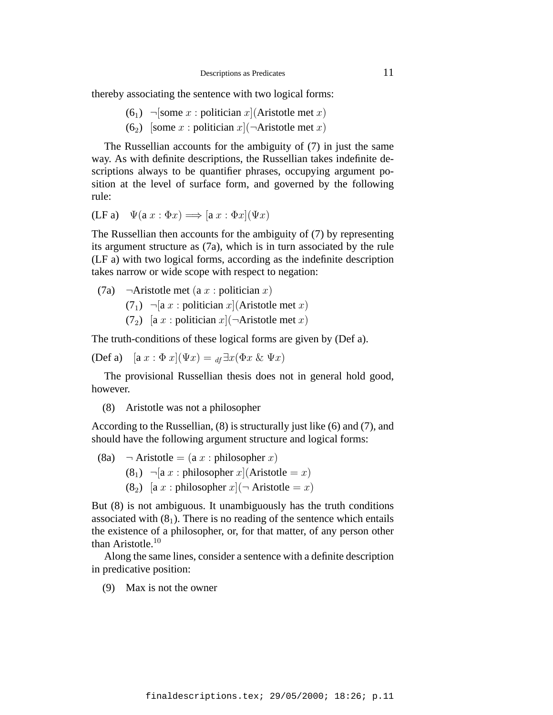thereby associating the sentence with two logical forms:

- $(6<sub>1</sub>)$   $\neg$  [some x : politician x](Aristotle met x)
- (6<sub>2</sub>) [some x : politician x]( $\neg$ Aristotle met x)

The Russellian accounts for the ambiguity of (7) in just the same way. As with definite descriptions, the Russellian takes indefinite descriptions always to be quantifier phrases, occupying argument position at the level of surface form, and governed by the following rule:

$$
(\mathbf{LF}\,\mathbf{a}) \quad \Psi(\mathbf{a}\,x : \Phi x) \Longrightarrow [\mathbf{a}\,x : \Phi x](\Psi x)
$$

The Russellian then accounts for the ambiguity of (7) by representing its argument structure as (7a), which is in turn associated by the rule (LF a) with two logical forms, according as the indefinite description takes narrow or wide scope with respect to negation:

(7a)  $\neg$ Aristotle met (a x : politician x)  $(7<sub>1</sub>)$   $\neg$ [a x : politician x](Aristotle met x) (7<sub>2</sub>) [a x : politician x]( $\neg$ Aristotle met x)

The truth-conditions of these logical forms are given by (Def a).

$$
(\text{Def } \mathbf{a}) \quad [\mathbf{a} \; x : \Phi \; x](\Psi x) = \mathbf{a} \cdot \exists x (\Phi x \; \& \; \Psi x)
$$

The provisional Russellian thesis does not in general hold good, however.

(8) Aristotle was not a philosopher

According to the Russellian, (8) is structurally just like (6) and (7), and should have the following argument structure and logical forms:

(8a)  $\neg$  Aristotle = (a x : philosopher x) (8<sub>1</sub>)  $\neg$ [a x : philosopher x](Aristotle = x) (8<sub>2</sub>) [a x : philosopher  $x$ [ $\neg$  Aristotle = x)

But (8) is not ambiguous. It unambiguously has the truth conditions associated with  $(8<sub>1</sub>)$ . There is no reading of the sentence which entails the existence of a philosopher, or, for that matter, of any person other than Aristotle.<sup>10</sup>

Along the same lines, consider a sentence with a definite description in predicative position:

(9) Max is not the owner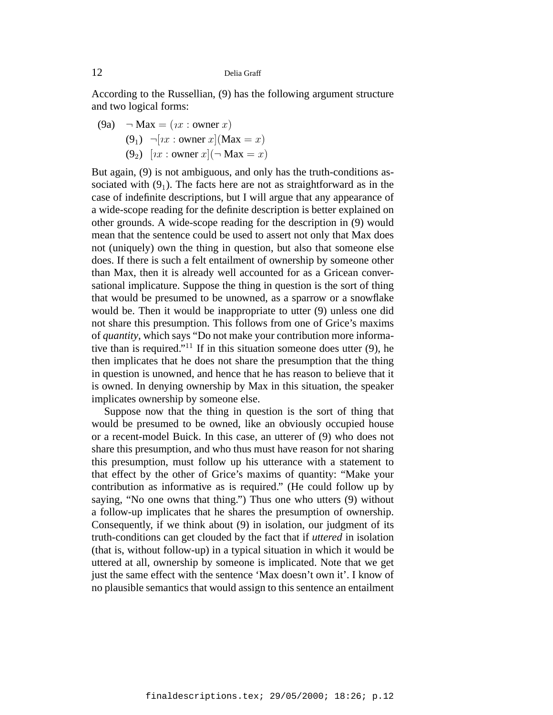According to the Russellian, (9) has the following argument structure and two logical forms:

(9a)  $\neg$  Max = (*ix* : owner *x*) (9<sub>1</sub>)  $\neg [nx : owner x](Max = x)$ (9<sub>2</sub>)  $[x : \text{ owner } x] (\neg \text{ Max } = x)$ 

But again, (9) is not ambiguous, and only has the truth-conditions associated with  $(9<sub>1</sub>)$ . The facts here are not as straightforward as in the case of indefinite descriptions, but I will argue that any appearance of a wide-scope reading for the definite description is better explained on other grounds. A wide-scope reading for the description in (9) would mean that the sentence could be used to assert not only that Max does not (uniquely) own the thing in question, but also that someone else does. If there is such a felt entailment of ownership by someone other than Max, then it is already well accounted for as a Gricean conversational implicature. Suppose the thing in question is the sort of thing that would be presumed to be unowned, as a sparrow or a snowflake would be. Then it would be inappropriate to utter (9) unless one did not share this presumption. This follows from one of Grice's maxims of *quantity*, which says "Do not make your contribution more informative than is required."<sup>11</sup> If in this situation someone does utter  $(9)$ , he then implicates that he does not share the presumption that the thing in question is unowned, and hence that he has reason to believe that it is owned. In denying ownership by Max in this situation, the speaker implicates ownership by someone else.

Suppose now that the thing in question is the sort of thing that would be presumed to be owned, like an obviously occupied house or a recent-model Buick. In this case, an utterer of (9) who does not share this presumption, and who thus must have reason for not sharing this presumption, must follow up his utterance with a statement to that effect by the other of Grice's maxims of quantity: "Make your contribution as informative as is required." (He could follow up by saying, "No one owns that thing.") Thus one who utters (9) without a follow-up implicates that he shares the presumption of ownership. Consequently, if we think about (9) in isolation, our judgment of its truth-conditions can get clouded by the fact that if *uttered* in isolation (that is, without follow-up) in a typical situation in which it would be uttered at all, ownership by someone is implicated. Note that we get just the same effect with the sentence 'Max doesn't own it'. I know of no plausible semantics that would assign to this sentence an entailment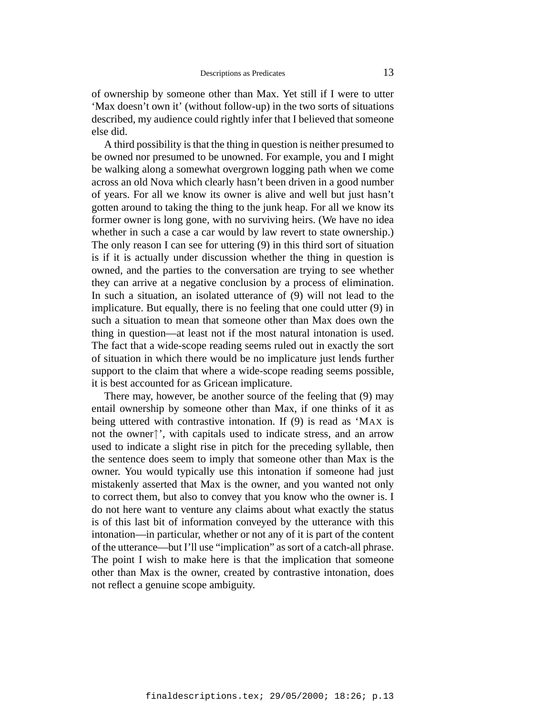of ownership by someone other than Max. Yet still if I were to utter 'Max doesn't own it' (without follow-up) in the two sorts of situations described, my audience could rightly infer that I believed that someone else did.

A third possibility is that the thing in question is neither presumed to be owned nor presumed to be unowned. For example, you and I might be walking along a somewhat overgrown logging path when we come across an old Nova which clearly hasn't been driven in a good number of years. For all we know its owner is alive and well but just hasn't gotten around to taking the thing to the junk heap. For all we know its former owner is long gone, with no surviving heirs. (We have no idea whether in such a case a car would by law revert to state ownership.) The only reason I can see for uttering (9) in this third sort of situation is if it is actually under discussion whether the thing in question is owned, and the parties to the conversation are trying to see whether they can arrive at a negative conclusion by a process of elimination. In such a situation, an isolated utterance of (9) will not lead to the implicature. But equally, there is no feeling that one could utter (9) in such a situation to mean that someone other than Max does own the thing in question—at least not if the most natural intonation is used. The fact that a wide-scope reading seems ruled out in exactly the sort of situation in which there would be no implicature just lends further support to the claim that where a wide-scope reading seems possible, it is best accounted for as Gricean implicature.

There may, however, be another source of the feeling that (9) may entail ownership by someone other than Max, if one thinks of it as being uttered with contrastive intonation. If (9) is read as 'MAX is not the owner↑', with capitals used to indicate stress, and an arrow used to indicate a slight rise in pitch for the preceding syllable, then the sentence does seem to imply that someone other than Max is the owner. You would typically use this intonation if someone had just mistakenly asserted that Max is the owner, and you wanted not only to correct them, but also to convey that you know who the owner is. I do not here want to venture any claims about what exactly the status is of this last bit of information conveyed by the utterance with this intonation—in particular, whether or not any of it is part of the content of the utterance—but I'll use "implication" as sort of a catch-all phrase. The point I wish to make here is that the implication that someone other than Max is the owner, created by contrastive intonation, does not reflect a genuine scope ambiguity.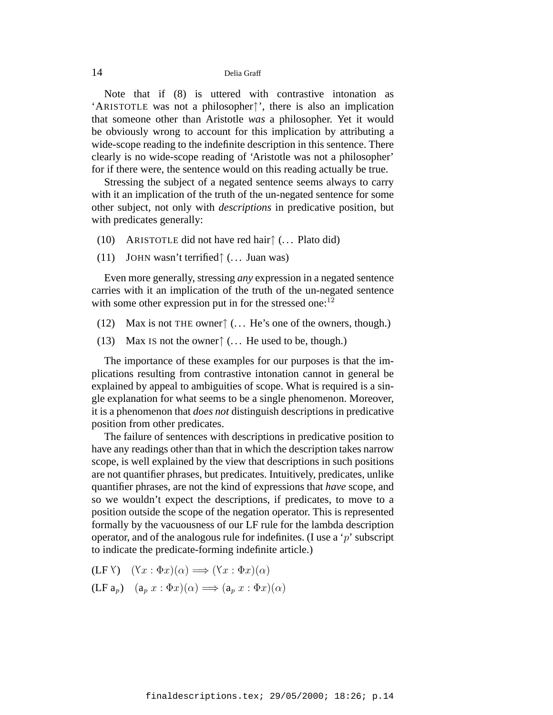Note that if (8) is uttered with contrastive intonation as 'ARISTOTLE was not a philosopher↑', there is also an implication that someone other than Aristotle *was* a philosopher. Yet it would be obviously wrong to account for this implication by attributing a wide-scope reading to the indefinite description in this sentence. There clearly is no wide-scope reading of 'Aristotle was not a philosopher' for if there were, the sentence would on this reading actually be true.

Stressing the subject of a negated sentence seems always to carry with it an implication of the truth of the un-negated sentence for some other subject, not only with *descriptions* in predicative position, but with predicates generally:

- (10) ARISTOTLE did not have red hair $\uparrow$  (... Plato did)
- (11) JOHN wasn't terrified↑ (. . . Juan was)

Even more generally, stressing *any* expression in a negated sentence carries with it an implication of the truth of the un-negated sentence with some other expression put in for the stressed one:  $12$ 

- (12) Max is not THE owner $\uparrow$  (... He's one of the owners, though.)
- (13) Max Is not the owner $\uparrow$  (... He used to be, though.)

The importance of these examples for our purposes is that the implications resulting from contrastive intonation cannot in general be explained by appeal to ambiguities of scope. What is required is a single explanation for what seems to be a single phenomenon. Moreover, it is a phenomenon that *does not* distinguish descriptions in predicative position from other predicates.

The failure of sentences with descriptions in predicative position to have any readings other than that in which the description takes narrow scope, is well explained by the view that descriptions in such positions are not quantifier phrases, but predicates. Intuitively, predicates, unlike quantifier phrases, are not the kind of expressions that *have* scope, and so we wouldn't expect the descriptions, if predicates, to move to a position outside the scope of the negation operator. This is represented formally by the vacuousness of our LF rule for the lambda description operator, and of the analogous rule for indefinites. (I use a 'p' subscript to indicate the predicate-forming indefinite article.)

- $(LF Y)$   $(Yx : \Phi x)(\alpha) \Longrightarrow (Yx : \Phi x)(\alpha)$
- $(LF a_p)$   $(a_p x : \Phi x)(\alpha) \Longrightarrow (a_p x : \Phi x)(\alpha)$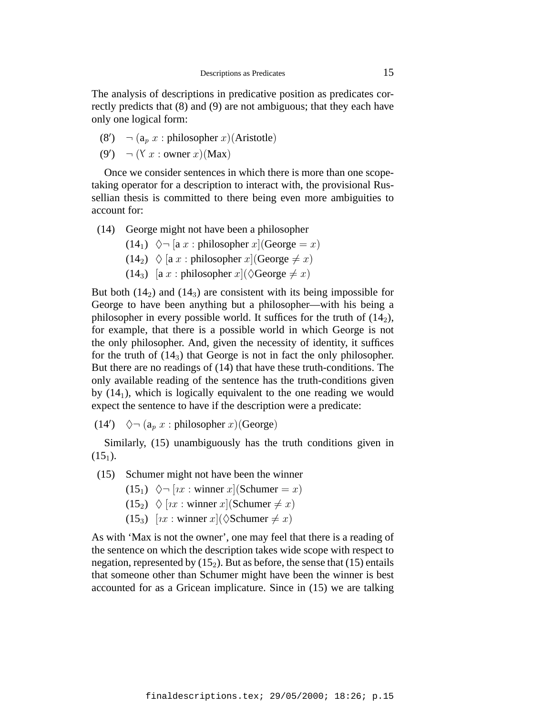The analysis of descriptions in predicative position as predicates correctly predicts that (8) and (9) are not ambiguous; that they each have only one logical form:

(8') 
$$
\neg
$$
 (a<sub>p</sub> x : philosopher x)(Aristotle)

$$
(9') \quad \neg (Y \ x : owner \ x)(Max)
$$

Once we consider sentences in which there is more than one scopetaking operator for a description to interact with, the provisional Russellian thesis is committed to there being even more ambiguities to account for:

- (14) George might not have been a philosopher
	- $(14_1)$   $\Diamond \neg$  [a x : philosopher x](George = x)
	- $(14_2) \triangleleft [a \ x : \text{philosopher } x]$ (George  $\neq x$ )
	- $(14_3)$  [a x : philosopher  $x$ ]( $\Diamond$ George  $\neq x$ )

But both  $(14<sub>2</sub>)$  and  $(14<sub>3</sub>)$  are consistent with its being impossible for George to have been anything but a philosopher—with his being a philosopher in every possible world. It suffices for the truth of  $(14<sub>2</sub>)$ , for example, that there is a possible world in which George is not the only philosopher. And, given the necessity of identity, it suffices for the truth of  $(14<sub>3</sub>)$  that George is not in fact the only philosopher. But there are no readings of (14) that have these truth-conditions. The only available reading of the sentence has the truth-conditions given by  $(14<sub>1</sub>)$ , which is logically equivalent to the one reading we would expect the sentence to have if the description were a predicate:

 $(14') \quad \Diamond \neg (a_p x : \text{philosopher } x)(\text{George})$ 

Similarly, (15) unambiguously has the truth conditions given in  $(15<sub>1</sub>)$ .

- (15) Schumer might not have been the winner
	- $(15_1)$   $\Diamond \neg [nx : \text{winner } x]$ (Schumer = x)
	- $(15_2) \diamond [nx : \text{winner } x]$ (Schumer  $\neq x$ )
	- (15<sub>3</sub>)  $[x : \text{winner } x] (\Diamond \text{Schumer} \neq x)$

As with 'Max is not the owner', one may feel that there is a reading of the sentence on which the description takes wide scope with respect to negation, represented by  $(15<sub>2</sub>)$ . But as before, the sense that (15) entails that someone other than Schumer might have been the winner is best accounted for as a Gricean implicature. Since in (15) we are talking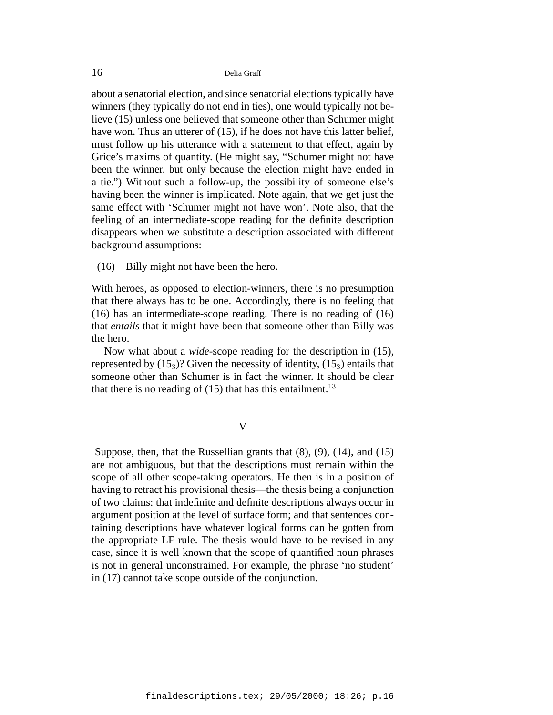about a senatorial election, and since senatorial elections typically have winners (they typically do not end in ties), one would typically not believe (15) unless one believed that someone other than Schumer might have won. Thus an utterer of (15), if he does not have this latter belief, must follow up his utterance with a statement to that effect, again by Grice's maxims of quantity. (He might say, "Schumer might not have been the winner, but only because the election might have ended in a tie.") Without such a follow-up, the possibility of someone else's having been the winner is implicated. Note again, that we get just the same effect with 'Schumer might not have won'. Note also, that the feeling of an intermediate-scope reading for the definite description disappears when we substitute a description associated with different background assumptions:

(16) Billy might not have been the hero.

With heroes, as opposed to election-winners, there is no presumption that there always has to be one. Accordingly, there is no feeling that (16) has an intermediate-scope reading. There is no reading of (16) that *entails* that it might have been that someone other than Billy was the hero.

Now what about a *wide*-scope reading for the description in (15), represented by  $(15<sub>3</sub>)$ ? Given the necessity of identity,  $(15<sub>3</sub>)$  entails that someone other than Schumer is in fact the winner. It should be clear that there is no reading of  $(15)$  that has this entailment.<sup>13</sup>

#### V

Suppose, then, that the Russellian grants that (8), (9), (14), and (15) are not ambiguous, but that the descriptions must remain within the scope of all other scope-taking operators. He then is in a position of having to retract his provisional thesis—the thesis being a conjunction of two claims: that indefinite and definite descriptions always occur in argument position at the level of surface form; and that sentences containing descriptions have whatever logical forms can be gotten from the appropriate LF rule. The thesis would have to be revised in any case, since it is well known that the scope of quantified noun phrases is not in general unconstrained. For example, the phrase 'no student' in (17) cannot take scope outside of the conjunction.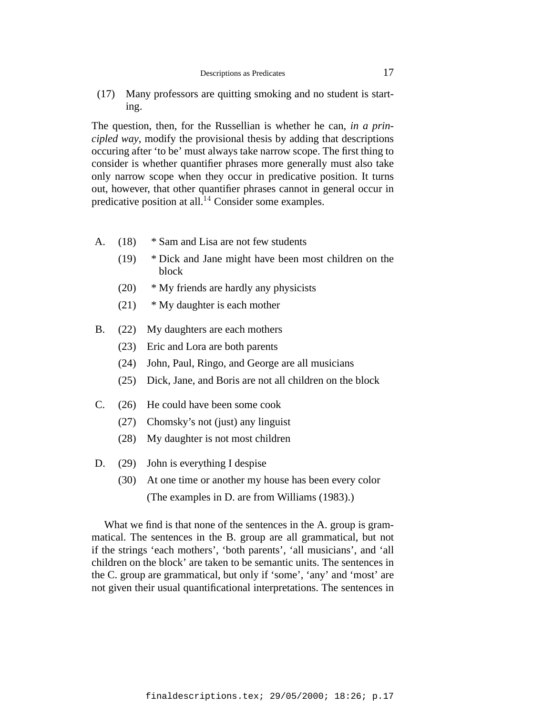(17) Many professors are quitting smoking and no student is starting.

The question, then, for the Russellian is whether he can, *in a principled way*, modify the provisional thesis by adding that descriptions occuring after 'to be' must always take narrow scope. The first thing to consider is whether quantifier phrases more generally must also take only narrow scope when they occur in predicative position. It turns out, however, that other quantifier phrases cannot in general occur in predicative position at all.<sup>14</sup> Consider some examples.

- A. (18) \* Sam and Lisa are not few students
	- (19) \* Dick and Jane might have been most children on the block
	- (20) \* My friends are hardly any physicists
	- $(21)$  \* My daughter is each mother
- B. (22) My daughters are each mothers
	- (23) Eric and Lora are both parents
	- (24) John, Paul, Ringo, and George are all musicians
	- (25) Dick, Jane, and Boris are not all children on the block
- C. (26) He could have been some cook
	- (27) Chomsky's not (just) any linguist
	- (28) My daughter is not most children
- D. (29) John is everything I despise
	- (30) At one time or another my house has been every color (The examples in D. are from Williams (1983).)

What we find is that none of the sentences in the A. group is grammatical. The sentences in the B. group are all grammatical, but not if the strings 'each mothers', 'both parents', 'all musicians', and 'all children on the block' are taken to be semantic units. The sentences in the C. group are grammatical, but only if 'some', 'any' and 'most' are not given their usual quantificational interpretations. The sentences in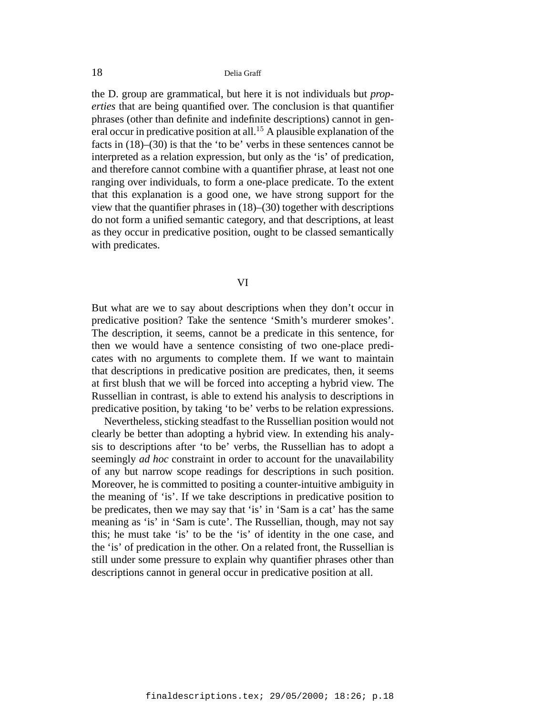the D. group are grammatical, but here it is not individuals but *properties* that are being quantified over. The conclusion is that quantifier phrases (other than definite and indefinite descriptions) cannot in general occur in predicative position at all.<sup>15</sup> A plausible explanation of the facts in (18)–(30) is that the 'to be' verbs in these sentences cannot be interpreted as a relation expression, but only as the 'is' of predication, and therefore cannot combine with a quantifier phrase, at least not one ranging over individuals, to form a one-place predicate. To the extent that this explanation is a good one, we have strong support for the view that the quantifier phrases in (18)–(30) together with descriptions do not form a unified semantic category, and that descriptions, at least as they occur in predicative position, ought to be classed semantically with predicates.

# VI

But what are we to say about descriptions when they don't occur in predicative position? Take the sentence 'Smith's murderer smokes'. The description, it seems, cannot be a predicate in this sentence, for then we would have a sentence consisting of two one-place predicates with no arguments to complete them. If we want to maintain that descriptions in predicative position are predicates, then, it seems at first blush that we will be forced into accepting a hybrid view. The Russellian in contrast, is able to extend his analysis to descriptions in predicative position, by taking 'to be' verbs to be relation expressions.

Nevertheless, sticking steadfast to the Russellian position would not clearly be better than adopting a hybrid view. In extending his analysis to descriptions after 'to be' verbs, the Russellian has to adopt a seemingly *ad hoc* constraint in order to account for the unavailability of any but narrow scope readings for descriptions in such position. Moreover, he is committed to positing a counter-intuitive ambiguity in the meaning of 'is'. If we take descriptions in predicative position to be predicates, then we may say that 'is' in 'Sam is a cat' has the same meaning as 'is' in 'Sam is cute'. The Russellian, though, may not say this; he must take 'is' to be the 'is' of identity in the one case, and the 'is' of predication in the other. On a related front, the Russellian is still under some pressure to explain why quantifier phrases other than descriptions cannot in general occur in predicative position at all.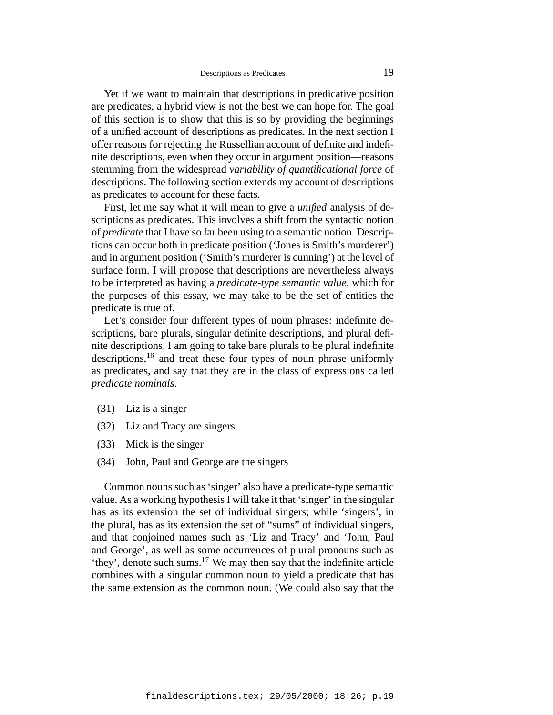Yet if we want to maintain that descriptions in predicative position are predicates, a hybrid view is not the best we can hope for. The goal of this section is to show that this is so by providing the beginnings of a unified account of descriptions as predicates. In the next section I offer reasons for rejecting the Russellian account of definite and indefinite descriptions, even when they occur in argument position—reasons stemming from the widespread *variability of quantificational force* of descriptions. The following section extends my account of descriptions as predicates to account for these facts.

First, let me say what it will mean to give a *unified* analysis of descriptions as predicates. This involves a shift from the syntactic notion of *predicate* that I have so far been using to a semantic notion. Descriptions can occur both in predicate position ('Jones is Smith's murderer') and in argument position ('Smith's murderer is cunning') at the level of surface form. I will propose that descriptions are nevertheless always to be interpreted as having a *predicate-type semantic value*, which for the purposes of this essay, we may take to be the set of entities the predicate is true of.

Let's consider four different types of noun phrases: indefinite descriptions, bare plurals, singular definite descriptions, and plural definite descriptions. I am going to take bare plurals to be plural indefinite descriptions, $16$  and treat these four types of noun phrase uniformly as predicates, and say that they are in the class of expressions called *predicate nominals*.

- (31) Liz is a singer
- (32) Liz and Tracy are singers
- (33) Mick is the singer
- (34) John, Paul and George are the singers

Common nouns such as 'singer' also have a predicate-type semantic value. As a working hypothesis I will take it that 'singer' in the singular has as its extension the set of individual singers; while 'singers', in the plural, has as its extension the set of "sums" of individual singers, and that conjoined names such as 'Liz and Tracy' and 'John, Paul and George', as well as some occurrences of plural pronouns such as 'they', denote such sums.<sup>17</sup> We may then say that the indefinite article combines with a singular common noun to yield a predicate that has the same extension as the common noun. (We could also say that the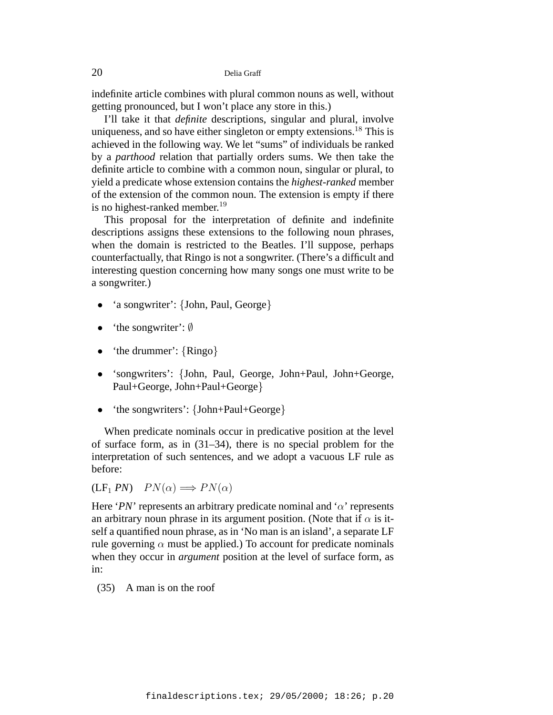indefinite article combines with plural common nouns as well, without getting pronounced, but I won't place any store in this.)

I'll take it that *definite* descriptions, singular and plural, involve uniqueness, and so have either singleton or empty extensions.<sup>18</sup> This is achieved in the following way. We let "sums" of individuals be ranked by a *parthood* relation that partially orders sums. We then take the definite article to combine with a common noun, singular or plural, to yield a predicate whose extension contains the *highest-ranked* member of the extension of the common noun. The extension is empty if there is no highest-ranked member.<sup>19</sup>

This proposal for the interpretation of definite and indefinite descriptions assigns these extensions to the following noun phrases, when the domain is restricted to the Beatles. I'll suppose, perhaps counterfactually, that Ringo is not a songwriter. (There's a difficult and interesting question concerning how many songs one must write to be a songwriter.)

- 'a songwriter': {John, Paul, George}
- 'the songwriter':  $\emptyset$
- 'the drummer':  $\{Ringo\}$
- 'songwriters': {John, Paul, George, John+Paul, John+George, Paul+George, John+Paul+George}
- 'the songwriters': {John+Paul+George}

When predicate nominals occur in predicative position at the level of surface form, as in (31–34), there is no special problem for the interpretation of such sentences, and we adopt a vacuous LF rule as before:

 $(LF_1 PN)$   $PN(\alpha) \Longrightarrow PN(\alpha)$ 

Here '*PN*' represents an arbitrary predicate nominal and ' $\alpha$ ' represents an arbitrary noun phrase in its argument position. (Note that if  $\alpha$  is itself a quantified noun phrase, as in 'No man is an island', a separate LF rule governing  $\alpha$  must be applied.) To account for predicate nominals when they occur in *argument* position at the level of surface form, as in:

(35) A man is on the roof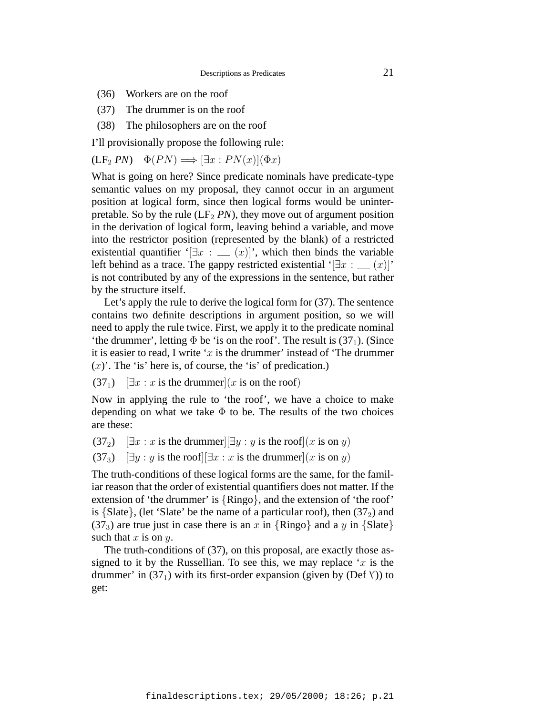- (36) Workers are on the roof
- (37) The drummer is on the roof
- (38) The philosophers are on the roof

I'll provisionally propose the following rule:

$$
(\mathbf{LF}_{2} \, PN) \quad \Phi(PN) \Longrightarrow [\exists x : PN(x)](\Phi x)
$$

What is going on here? Since predicate nominals have predicate-type semantic values on my proposal, they cannot occur in an argument position at logical form, since then logical forms would be uninterpretable. So by the rule  $(LF_2 PN)$ , they move out of argument position in the derivation of logical form, leaving behind a variable, and move into the restrictor position (represented by the blank) of a restricted existential quantifier '[ $\exists x : (x)$ ]', which then binds the variable left behind as a trace. The gappy restricted existential ' $[\exists x : (x)]'$ ' is not contributed by any of the expressions in the sentence, but rather by the structure itself.

Let's apply the rule to derive the logical form for (37). The sentence contains two definite descriptions in argument position, so we will need to apply the rule twice. First, we apply it to the predicate nominal 'the drummer', letting  $\Phi$  be 'is on the roof'. The result is (37<sub>1</sub>). (Since it is easier to read, I write ' $x$  is the drummer' instead of 'The drummer'  $(x)$ . The 'is' here is, of course, the 'is' of predication.)

 $(37<sub>1</sub>)$   $[\exists x : x$  is the drummer $(x$  is on the roof)

Now in applying the rule to 'the roof', we have a choice to make depending on what we take  $\Phi$  to be. The results of the two choices are these:

 $(37_2)$   $[\exists x : x$  is the drummer $\exists y : y$  is the roof $(x \text{ is on } y)$ 

 $(37_3)$  [∃y : y is the roof][∃x : x is the drummer](x is on y)

The truth-conditions of these logical forms are the same, for the familiar reason that the order of existential quantifiers does not matter. If the extension of 'the drummer' is {Ringo}, and the extension of 'the roof' is  $\{State\}$ , (let 'Slate' be the name of a particular roof), then  $(37<sub>2</sub>)$  and (37<sub>3</sub>) are true just in case there is an x in  $\{Ringo\}$  and a y in  $\{State\}$ such that  $x$  is on  $y$ .

The truth-conditions of (37), on this proposal, are exactly those assigned to it by the Russellian. To see this, we may replace 'x is the drummer' in  $(37<sub>1</sub>)$  with its first-order expansion (given by (Def  $\Upsilon$ )) to get: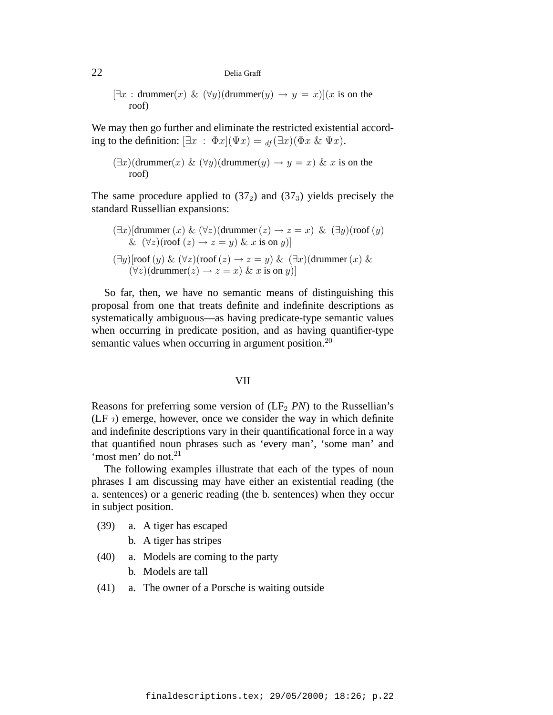$[\exists x : \text{drummer}(x) \& (\forall y)(\text{drummer}(y) \rightarrow y = x)](x \text{ is on the})$ roof)

We may then go further and eliminate the restricted existential according to the definition:  $[\exists x : \Phi x](\Psi x) = u(f \exists x)(\Phi x \& \Psi x)$ .

$$
(\exists x)(\text{drummer}(x) \& (\forall y)(\text{drummer}(y) \rightarrow y = x) \& x \text{ is on the root})
$$

The same procedure applied to  $(37<sub>2</sub>)$  and  $(37<sub>3</sub>)$  yields precisely the standard Russellian expansions:

$$
(\exists x)[\text{drummer}(x) \& (\forall z)(\text{drummer}(z) \rightarrow z = x) \& (\exists y)(\text{roof}(y) \& (\forall z)(\text{roof}(z) \rightarrow z = y) \& x \text{ is on } y)]
$$
  

$$
(\exists y)[\text{roof}(y) \& (\forall z)(\text{roof}(z) \rightarrow z = y) \& (\exists x)(\text{drummer}(x) \& (\forall z)(\text{drummer}(z) \rightarrow z = x) \& x \text{ is on } y)]
$$

So far, then, we have no semantic means of distinguishing this proposal from one that treats definite and indefinite descriptions as systematically ambiguous—as having predicate-type semantic values when occurring in predicate position, and as having quantifier-type semantic values when occurring in argument position.<sup>20</sup>

# VII

Reasons for preferring some version of  $(LF_2 \, PN)$  to the Russellian's (LF  $\eta$ ) emerge, however, once we consider the way in which definite and indefinite descriptions vary in their quantificational force in a way that quantified noun phrases such as 'every man', 'some man' and 'most men' do not.<sup>21</sup>

The following examples illustrate that each of the types of noun phrases I am discussing may have either an existential reading (the a. sentences) or a generic reading (the b. sentences) when they occur in subject position.

- (39) a. A tiger has escaped
	- b. A tiger has stripes
- (40) a. Models are coming to the party
	- b. Models are tall
- (41) a. The owner of a Porsche is waiting outside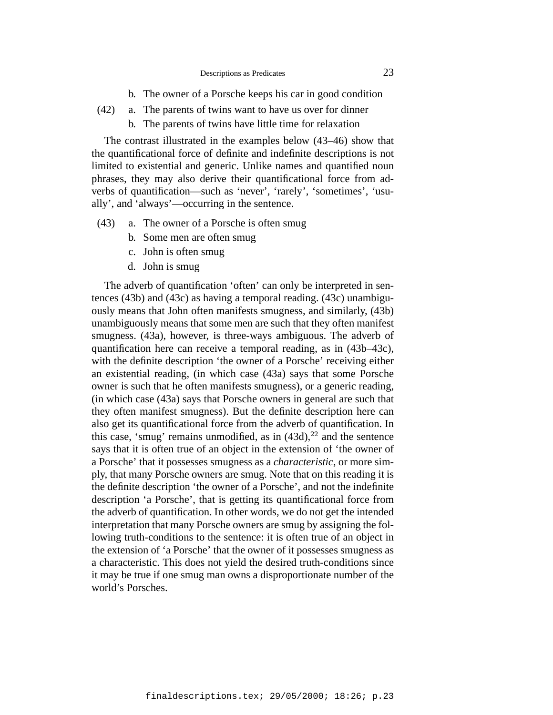- b. The owner of a Porsche keeps his car in good condition
- (42) a. The parents of twins want to have us over for dinner
	- b. The parents of twins have little time for relaxation

The contrast illustrated in the examples below (43–46) show that the quantificational force of definite and indefinite descriptions is not limited to existential and generic. Unlike names and quantified noun phrases, they may also derive their quantificational force from adverbs of quantification—such as 'never', 'rarely', 'sometimes', 'usually', and 'always'—occurring in the sentence.

- (43) a. The owner of a Porsche is often smug
	- b. Some men are often smug
	- c. John is often smug
	- d. John is smug

The adverb of quantification 'often' can only be interpreted in sentences (43b) and (43c) as having a temporal reading. (43c) unambiguously means that John often manifests smugness, and similarly, (43b) unambiguously means that some men are such that they often manifest smugness. (43a), however, is three-ways ambiguous. The adverb of quantification here can receive a temporal reading, as in (43b–43c), with the definite description 'the owner of a Porsche' receiving either an existential reading, (in which case (43a) says that some Porsche owner is such that he often manifests smugness), or a generic reading, (in which case (43a) says that Porsche owners in general are such that they often manifest smugness). But the definite description here can also get its quantificational force from the adverb of quantification. In this case, 'smug' remains unmodified, as in  $(43d)$ ,  $^{22}$  and the sentence says that it is often true of an object in the extension of 'the owner of a Porsche' that it possesses smugness as a *characteristic*, or more simply, that many Porsche owners are smug. Note that on this reading it is the definite description 'the owner of a Porsche', and not the indefinite description 'a Porsche', that is getting its quantificational force from the adverb of quantification. In other words, we do not get the intended interpretation that many Porsche owners are smug by assigning the following truth-conditions to the sentence: it is often true of an object in the extension of 'a Porsche' that the owner of it possesses smugness as a characteristic. This does not yield the desired truth-conditions since it may be true if one smug man owns a disproportionate number of the world's Porsches.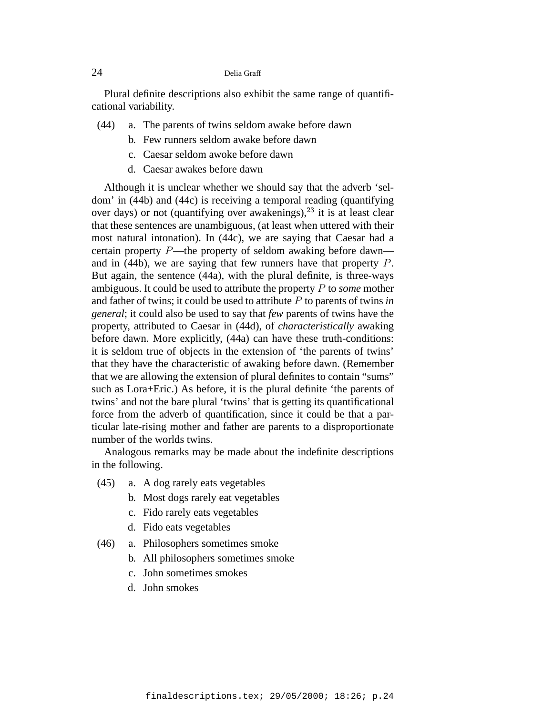Plural definite descriptions also exhibit the same range of quantificational variability.

- (44) a. The parents of twins seldom awake before dawn
	- b. Few runners seldom awake before dawn
	- c. Caesar seldom awoke before dawn
	- d. Caesar awakes before dawn

Although it is unclear whether we should say that the adverb 'seldom' in (44b) and (44c) is receiving a temporal reading (quantifying over days) or not (quantifying over awakenings),  $23$  it is at least clear that these sentences are unambiguous, (at least when uttered with their most natural intonation). In (44c), we are saying that Caesar had a certain property P—the property of seldom awaking before dawn and in (44b), we are saying that few runners have that property P. But again, the sentence (44a), with the plural definite, is three-ways ambiguous. It could be used to attribute the property P to *some* mother and father of twins; it could be used to attribute P to parents of twins *in general*; it could also be used to say that *few* parents of twins have the property, attributed to Caesar in (44d), of *characteristically* awaking before dawn. More explicitly, (44a) can have these truth-conditions: it is seldom true of objects in the extension of 'the parents of twins' that they have the characteristic of awaking before dawn. (Remember that we are allowing the extension of plural definites to contain "sums" such as Lora+Eric.) As before, it is the plural definite 'the parents of twins' and not the bare plural 'twins' that is getting its quantificational force from the adverb of quantification, since it could be that a particular late-rising mother and father are parents to a disproportionate number of the worlds twins.

Analogous remarks may be made about the indefinite descriptions in the following.

- (45) a. A dog rarely eats vegetables
	- b. Most dogs rarely eat vegetables
	- c. Fido rarely eats vegetables
	- d. Fido eats vegetables
- (46) a. Philosophers sometimes smoke
	- b. All philosophers sometimes smoke
	- c. John sometimes smokes
	- d. John smokes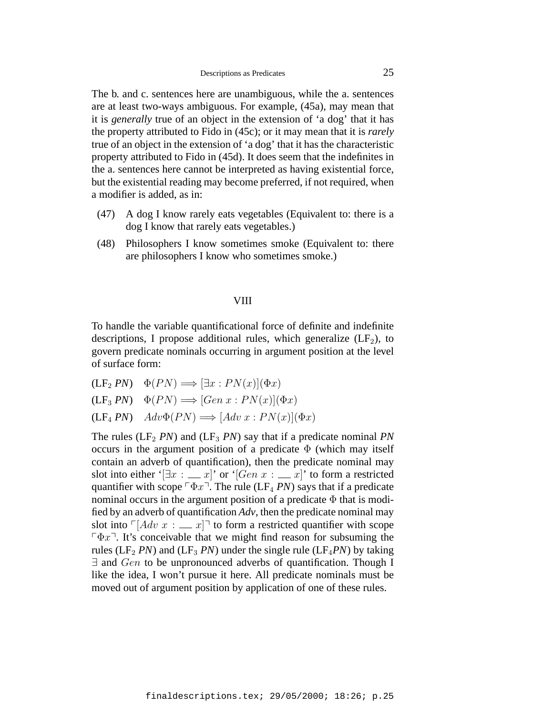The b. and c. sentences here are unambiguous, while the a. sentences are at least two-ways ambiguous. For example, (45a), may mean that it is *generally* true of an object in the extension of 'a dog' that it has the property attributed to Fido in (45c); or it may mean that it is *rarely* true of an object in the extension of 'a dog' that it has the characteristic property attributed to Fido in (45d). It does seem that the indefinites in the a. sentences here cannot be interpreted as having existential force, but the existential reading may become preferred, if not required, when a modifier is added, as in:

- (47) A dog I know rarely eats vegetables (Equivalent to: there is a dog I know that rarely eats vegetables.)
- (48) Philosophers I know sometimes smoke (Equivalent to: there are philosophers I know who sometimes smoke.)

# VIII

To handle the variable quantificational force of definite and indefinite descriptions, I propose additional rules, which generalize  $(LF_2)$ , to govern predicate nominals occurring in argument position at the level of surface form:

 $(LF_2 PN) \quad \Phi(PN) \Longrightarrow [\exists x : PN(x)](\Phi x)$  $(LF_3 PN) \quad \Phi(PN) \Longrightarrow [Gen \ x : PN(x) | (\Phi x)$  $(LF_4 PN)$   $Adv\Phi(PN) \Longrightarrow [Adv\ x : PN(x)](\Phi x)$ 

The rules ( $LF_2 PN$ ) and ( $LF_3 PN$ ) say that if a predicate nominal *PN* occurs in the argument position of a predicate  $\Phi$  (which may itself contain an adverb of quantification), then the predicate nominal may slot into either ' $[\exists x : \_\_x]'$ ' or '[Gen  $x : \_\_x]'$ ' to form a restricted quantifier with scope  $\nabla \Phi x$ <sup>-1</sup>. The rule (LF<sub>4</sub> *PN*) says that if a predicate nominal occurs in the argument position of a predicate  $\Phi$  that is modified by an adverb of quantification *Adv*, then the predicate nominal may slot into  $\lceil A dv \ x : \end{array}$   $\lfloor x \rceil$  to form a restricted quantifier with scope  $\nabla \Phi x$ . It's conceivable that we might find reason for subsuming the rules (LF<sub>2</sub> *PN*) and (LF<sub>3</sub> *PN*) under the single rule (LF<sub>4</sub>*PN*) by taking  $\exists$  and  $Gen$  to be unpronounced adverbs of quantification. Though I like the idea, I won't pursue it here. All predicate nominals must be moved out of argument position by application of one of these rules.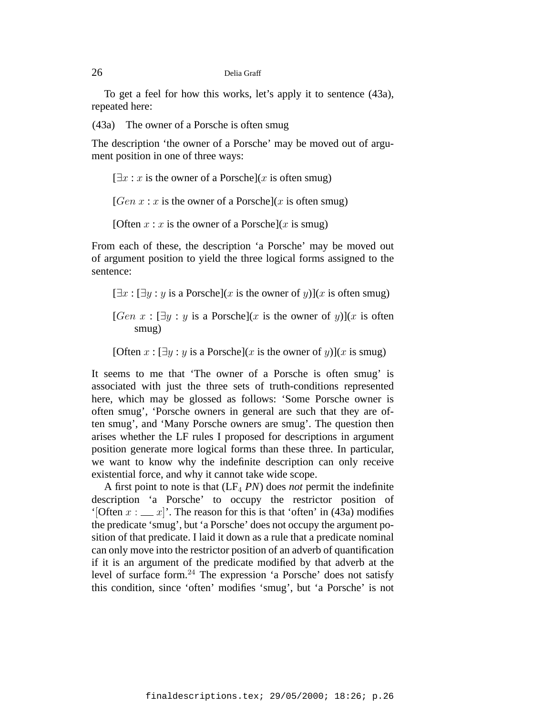To get a feel for how this works, let's apply it to sentence (43a), repeated here:

(43a) The owner of a Porsche is often smug

The description 'the owner of a Porsche' may be moved out of argument position in one of three ways:

# $[\exists x : x$  is the owner of a Porsche](x is often smug)

[Gen  $x : x$  is the owner of a Porsche](x is often smug)

[Often  $x : x$  is the owner of a Porsche](x is smug)

From each of these, the description 'a Porsche' may be moved out of argument position to yield the three logical forms assigned to the sentence:

 $[\exists x : [\exists y : y \text{ is a Porsche}](x \text{ is the owner of } y)](x \text{ is often smug})$ 

[Gen  $x : \exists y : y$  is a Porsche](x is the owner of y)](x is often smug)

[Often  $x : [\exists y : y \text{ is a Porsche}](x \text{ is the owner of } y)$ ](x is smug)

It seems to me that 'The owner of a Porsche is often smug' is associated with just the three sets of truth-conditions represented here, which may be glossed as follows: 'Some Porsche owner is often smug', 'Porsche owners in general are such that they are often smug', and 'Many Porsche owners are smug'. The question then arises whether the LF rules I proposed for descriptions in argument position generate more logical forms than these three. In particular, we want to know why the indefinite description can only receive existential force, and why it cannot take wide scope.

A first point to note is that  $(LF_4 \, PN)$  does *not* permit the indefinite description 'a Porsche' to occupy the restrictor position of '[Often  $x : \_\_x$ ]'. The reason for this is that 'often' in (43a) modifies the predicate 'smug', but 'a Porsche' does not occupy the argument position of that predicate. I laid it down as a rule that a predicate nominal can only move into the restrictor position of an adverb of quantification if it is an argument of the predicate modified by that adverb at the level of surface form.<sup>24</sup> The expression 'a Porsche' does not satisfy this condition, since 'often' modifies 'smug', but 'a Porsche' is not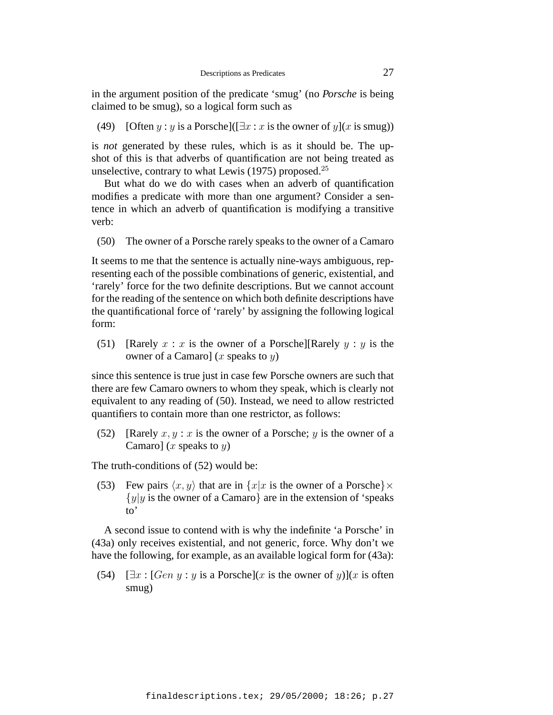in the argument position of the predicate 'smug' (no *Porsche* is being claimed to be smug), so a logical form such as

(49) [Often y : y is a Porsche]( $[\exists x : x$  is the owner of y](x is smug))

is *not* generated by these rules, which is as it should be. The upshot of this is that adverbs of quantification are not being treated as unselective, contrary to what Lewis  $(1975)$  proposed.<sup>25</sup>

But what do we do with cases when an adverb of quantification modifies a predicate with more than one argument? Consider a sentence in which an adverb of quantification is modifying a transitive verb:

(50) The owner of a Porsche rarely speaks to the owner of a Camaro

It seems to me that the sentence is actually nine-ways ambiguous, representing each of the possible combinations of generic, existential, and 'rarely' force for the two definite descriptions. But we cannot account for the reading of the sentence on which both definite descriptions have the quantificational force of 'rarely' by assigning the following logical form:

(51) [Rarely  $x : x$  is the owner of a Porsche][Rarely  $y : y$  is the owner of a Camaro] (x speaks to  $y$ )

since this sentence is true just in case few Porsche owners are such that there are few Camaro owners to whom they speak, which is clearly not equivalent to any reading of (50). Instead, we need to allow restricted quantifiers to contain more than one restrictor, as follows:

(52) [Rarely  $x, y : x$  is the owner of a Porsche; y is the owner of a Camaro] (x speaks to  $y$ )

The truth-conditions of (52) would be:

(53) Few pairs  $\langle x, y \rangle$  that are in  $\{x | x$  is the owner of a Porsche $\} \times$  ${y|y}$  is the owner of a Camaro} are in the extension of 'speaks' to'

A second issue to contend with is why the indefinite 'a Porsche' in (43a) only receives existential, and not generic, force. Why don't we have the following, for example, as an available logical form for (43a):

(54)  $[\exists x : [Gen \, y : y \, \text{is a Porsche}](x \, \text{is the owner of } y)](x \, \text{is often})$ smug)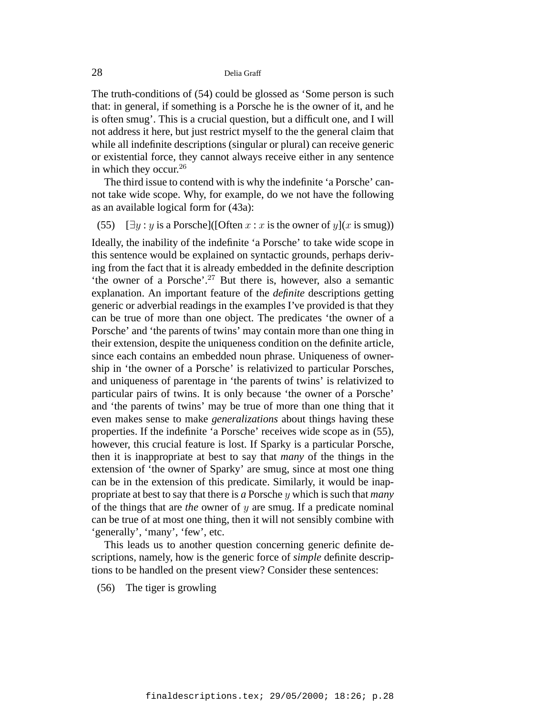The truth-conditions of (54) could be glossed as 'Some person is such that: in general, if something is a Porsche he is the owner of it, and he is often smug'. This is a crucial question, but a difficult one, and I will not address it here, but just restrict myself to the the general claim that while all indefinite descriptions (singular or plural) can receive generic or existential force, they cannot always receive either in any sentence in which they occur. $26$ 

The third issue to contend with is why the indefinite 'a Porsche' cannot take wide scope. Why, for example, do we not have the following as an available logical form for (43a):

# (55)  $[\exists y : y \text{ is a Porsche}](\text{[Often } x : x \text{ is the owner of } y \text{]}(x \text{ is smug}))$

Ideally, the inability of the indefinite 'a Porsche' to take wide scope in this sentence would be explained on syntactic grounds, perhaps deriving from the fact that it is already embedded in the definite description 'the owner of a Porsche'.<sup>27</sup> But there is, however, also a semantic explanation. An important feature of the *definite* descriptions getting generic or adverbial readings in the examples I've provided is that they can be true of more than one object. The predicates 'the owner of a Porsche' and 'the parents of twins' may contain more than one thing in their extension, despite the uniqueness condition on the definite article, since each contains an embedded noun phrase. Uniqueness of ownership in 'the owner of a Porsche' is relativized to particular Porsches, and uniqueness of parentage in 'the parents of twins' is relativized to particular pairs of twins. It is only because 'the owner of a Porsche' and 'the parents of twins' may be true of more than one thing that it even makes sense to make *generalizations* about things having these properties. If the indefinite 'a Porsche' receives wide scope as in (55), however, this crucial feature is lost. If Sparky is a particular Porsche, then it is inappropriate at best to say that *many* of the things in the extension of 'the owner of Sparky' are smug, since at most one thing can be in the extension of this predicate. Similarly, it would be inappropriate at best to say that there is *a* Porsche y which is such that *many* of the things that are *the* owner of y are smug. If a predicate nominal can be true of at most one thing, then it will not sensibly combine with 'generally', 'many', 'few', etc.

This leads us to another question concerning generic definite descriptions, namely, how is the generic force of *simple* definite descriptions to be handled on the present view? Consider these sentences:

(56) The tiger is growling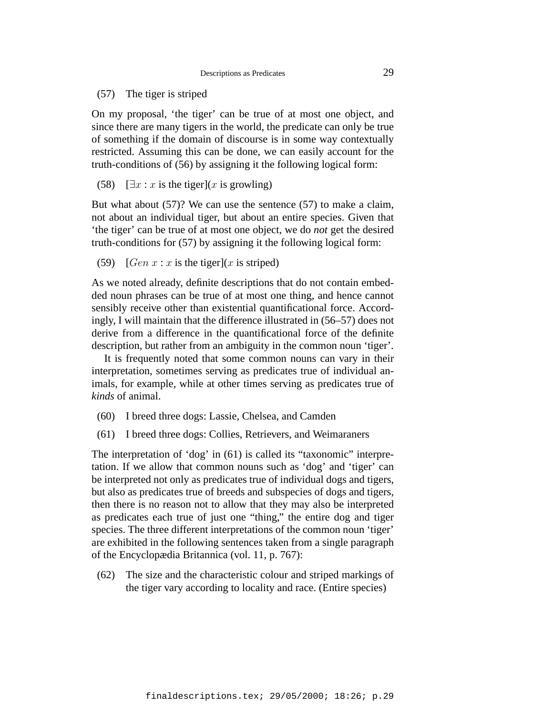(57) The tiger is striped

On my proposal, 'the tiger' can be true of at most one object, and since there are many tigers in the world, the predicate can only be true of something if the domain of discourse is in some way contextually restricted. Assuming this can be done, we can easily account for the truth-conditions of (56) by assigning it the following logical form:

(58)  $[\exists x : x \text{ is the tiger}](x \text{ is growing})$ 

But what about (57)? We can use the sentence (57) to make a claim, not about an individual tiger, but about an entire species. Given that 'the tiger' can be true of at most one object, we do *not* get the desired truth-conditions for (57) by assigning it the following logical form:

(59)  $[Gen x : x \text{ is the tiger}](x \text{ is stripped})$ 

As we noted already, definite descriptions that do not contain embedded noun phrases can be true of at most one thing, and hence cannot sensibly receive other than existential quantificational force. Accordingly, I will maintain that the difference illustrated in (56–57) does not derive from a difference in the quantificational force of the definite description, but rather from an ambiguity in the common noun 'tiger'.

It is frequently noted that some common nouns can vary in their interpretation, sometimes serving as predicates true of individual animals, for example, while at other times serving as predicates true of *kinds* of animal.

- (60) I breed three dogs: Lassie, Chelsea, and Camden
- (61) I breed three dogs: Collies, Retrievers, and Weimaraners

The interpretation of 'dog' in (61) is called its "taxonomic" interpretation. If we allow that common nouns such as 'dog' and 'tiger' can be interpreted not only as predicates true of individual dogs and tigers, but also as predicates true of breeds and subspecies of dogs and tigers, then there is no reason not to allow that they may also be interpreted as predicates each true of just one "thing," the entire dog and tiger species. The three different interpretations of the common noun 'tiger' are exhibited in the following sentences taken from a single paragraph of the Encyclopædia Britannica (vol. 11, p. 767):

(62) The size and the characteristic colour and striped markings of the tiger vary according to locality and race. (Entire species)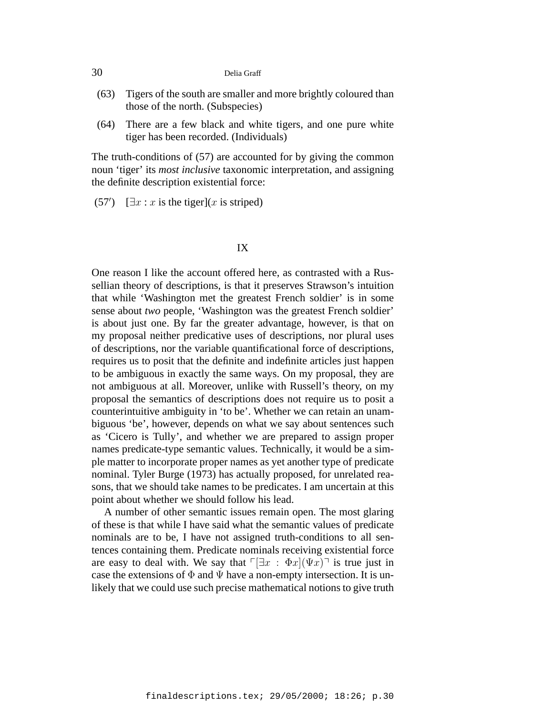- (63) Tigers of the south are smaller and more brightly coloured than those of the north. (Subspecies)
- (64) There are a few black and white tigers, and one pure white tiger has been recorded. (Individuals)

The truth-conditions of (57) are accounted for by giving the common noun 'tiger' its *most inclusive* taxonomic interpretation, and assigning the definite description existential force:

 $(57')$  [ $\exists x : x$  is the tiger](x is striped)

# IX

One reason I like the account offered here, as contrasted with a Russellian theory of descriptions, is that it preserves Strawson's intuition that while 'Washington met the greatest French soldier' is in some sense about *two* people, 'Washington was the greatest French soldier' is about just one. By far the greater advantage, however, is that on my proposal neither predicative uses of descriptions, nor plural uses of descriptions, nor the variable quantificational force of descriptions, requires us to posit that the definite and indefinite articles just happen to be ambiguous in exactly the same ways. On my proposal, they are not ambiguous at all. Moreover, unlike with Russell's theory, on my proposal the semantics of descriptions does not require us to posit a counterintuitive ambiguity in 'to be'. Whether we can retain an unambiguous 'be', however, depends on what we say about sentences such as 'Cicero is Tully', and whether we are prepared to assign proper names predicate-type semantic values. Technically, it would be a simple matter to incorporate proper names as yet another type of predicate nominal. Tyler Burge (1973) has actually proposed, for unrelated reasons, that we should take names to be predicates. I am uncertain at this point about whether we should follow his lead.

A number of other semantic issues remain open. The most glaring of these is that while I have said what the semantic values of predicate nominals are to be, I have not assigned truth-conditions to all sentences containing them. Predicate nominals receiving existential force are easy to deal with. We say that  $\ulcorner [\exists x : \Phi x](\Psi x) \urcorner$  is true just in case the extensions of  $\Phi$  and  $\Psi$  have a non-empty intersection. It is unlikely that we could use such precise mathematical notions to give truth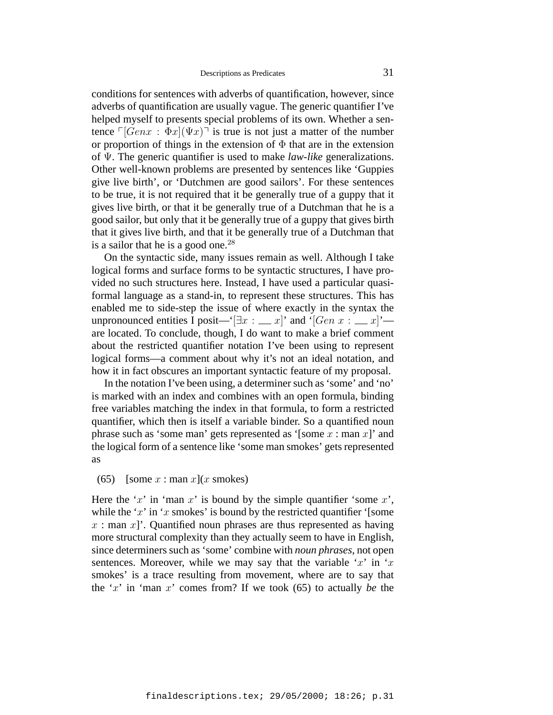conditions for sentences with adverbs of quantification, however, since adverbs of quantification are usually vague. The generic quantifier I've helped myself to presents special problems of its own. Whether a sentence  $\lceil$   $\left[Genx : \Phi x \right]$  $\left( \Psi x \right)$ <sup> $\lceil$ </sup> is true is not just a matter of the number or proportion of things in the extension of  $\Phi$  that are in the extension of Ψ. The generic quantifier is used to make *law-like* generalizations. Other well-known problems are presented by sentences like 'Guppies give live birth', or 'Dutchmen are good sailors'. For these sentences to be true, it is not required that it be generally true of a guppy that it gives live birth, or that it be generally true of a Dutchman that he is a good sailor, but only that it be generally true of a guppy that gives birth that it gives live birth, and that it be generally true of a Dutchman that is a sailor that he is a good one. $^{28}$ 

On the syntactic side, many issues remain as well. Although I take logical forms and surface forms to be syntactic structures, I have provided no such structures here. Instead, I have used a particular quasiformal language as a stand-in, to represent these structures. This has enabled me to side-step the issue of where exactly in the syntax the unpronounced entities I posit—'[ $\exists x : \_\_\ x$ ]' and '[Gen  $x : \_\_\ x$ ]' are located. To conclude, though, I do want to make a brief comment about the restricted quantifier notation I've been using to represent logical forms—a comment about why it's not an ideal notation, and how it in fact obscures an important syntactic feature of my proposal.

In the notation I've been using, a determiner such as 'some' and 'no' is marked with an index and combines with an open formula, binding free variables matching the index in that formula, to form a restricted quantifier, which then is itself a variable binder. So a quantified noun phrase such as 'some man' gets represented as '[some  $x :$  man  $x$ ]' and the logical form of a sentence like 'some man smokes' gets represented as

#### (65) [some  $x : \text{man } x$ ](x smokes)

Here the 'x' in 'man x' is bound by the simple quantifier 'some  $x$ ', while the 'x' in 'x smokes' is bound by the restricted quantifier '[some  $x :$  man  $x$ ]'. Quantified noun phrases are thus represented as having more structural complexity than they actually seem to have in English, since determiners such as 'some' combine with *noun phrases*, not open sentences. Moreover, while we may say that the variable 'x' in 'x smokes' is a trace resulting from movement, where are to say that the 'x' in 'man x' comes from? If we took (65) to actually *be* the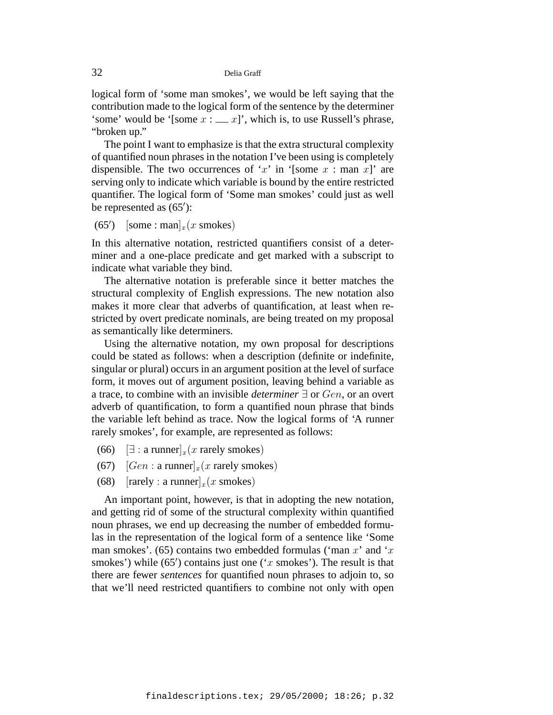logical form of 'some man smokes', we would be left saying that the contribution made to the logical form of the sentence by the determiner 'some' would be '[some  $x : \_ x$ ]', which is, to use Russell's phrase, "broken up."

The point I want to emphasize is that the extra structural complexity of quantified noun phrases in the notation I've been using is completely dispensible. The two occurrences of 'x' in '[some  $x :$  man  $x$ ]' are serving only to indicate which variable is bound by the entire restricted quantifier. The logical form of 'Some man smokes' could just as well be represented as  $(65')$ :

 $(65')$  $[\text{some}: \text{man}]_x(x \text{ smokers})$ 

In this alternative notation, restricted quantifiers consist of a determiner and a one-place predicate and get marked with a subscript to indicate what variable they bind.

The alternative notation is preferable since it better matches the structural complexity of English expressions. The new notation also makes it more clear that adverbs of quantification, at least when restricted by overt predicate nominals, are being treated on my proposal as semantically like determiners.

Using the alternative notation, my own proposal for descriptions could be stated as follows: when a description (definite or indefinite, singular or plural) occurs in an argument position at the level of surface form, it moves out of argument position, leaving behind a variable as a trace, to combine with an invisible *determiner* ∃ or Gen, or an overt adverb of quantification, to form a quantified noun phrase that binds the variable left behind as trace. Now the logical forms of 'A runner rarely smokes', for example, are represented as follows:

- (66)  $[\exists : \text{a runner}]_x(x \text{ rarely smokers})$
- (67)  $[Gen: a runner]_x(x rarely smokers)$
- (68)  $[\text{rarely : a runner}]_x(x \text{ smokers})$

An important point, however, is that in adopting the new notation, and getting rid of some of the structural complexity within quantified noun phrases, we end up decreasing the number of embedded formulas in the representation of the logical form of a sentence like 'Some man smokes'. (65) contains two embedded formulas ('man x' and 'x smokes') while  $(65')$  contains just one ('x smokes'). The result is that there are fewer *sentences* for quantified noun phrases to adjoin to, so that we'll need restricted quantifiers to combine not only with open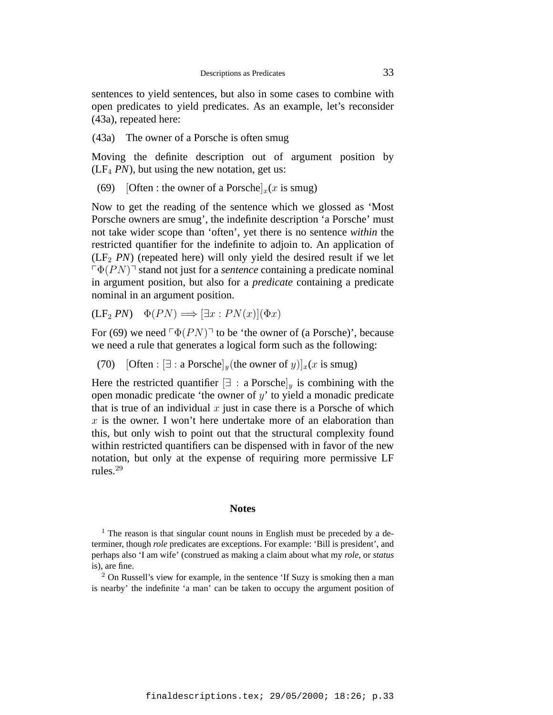sentences to yield sentences, but also in some cases to combine with open predicates to yield predicates. As an example, let's reconsider (43a), repeated here:

#### (43a) The owner of a Porsche is often smug

Moving the definite description out of argument position by  $(LF<sub>4</sub> PN)$ , but using the new notation, get us:

(69) [Often : the owner of a Porsche]<sub>x</sub>(x is smug)

Now to get the reading of the sentence which we glossed as 'Most Porsche owners are smug', the indefinite description 'a Porsche' must not take wider scope than 'often', yet there is no sentence *within* the restricted quantifier for the indefinite to adjoin to. An application of  $(LF<sub>2</sub> PN)$  (repeated here) will only yield the desired result if we let  $\sqrt{\Phi(PN)}$ <sup>-</sup> stand not just for a *sentence* containing a predicate nominal in argument position, but also for a *predicate* containing a predicate nominal in an argument position.

$$
(\mathbf{LF}_{2} \, PN) \quad \Phi(PN) \Longrightarrow [\exists x : PN(x)](\Phi x)
$$

For (69) we need  $\lceil \Phi(PN) \rceil$  to be 'the owner of (a Porsche)', because we need a rule that generates a logical form such as the following:

(70) [Often :  $[\exists : a \text{ Porsche}]$ <sub>y</sub> (the owner of y)]<sub>x</sub>(x is smug)

Here the restricted quantifier  $[\exists : a \text{Porschel}_y]$  is combining with the open monadic predicate 'the owner of  $y$ ' to yield a monadic predicate that is true of an individual  $x$  just in case there is a Porsche of which  $x$  is the owner. I won't here undertake more of an elaboration than this, but only wish to point out that the structural complexity found within restricted quantifiers can be dispensed with in favor of the new notation, but only at the expense of requiring more permissive LF rules.<sup>29</sup>

#### **Notes**

 $1$  The reason is that singular count nouns in English must be preceded by a determiner, though *role* predicates are exceptions. For example: 'Bill is president', and perhaps also 'I am wife' (construed as making a claim about what my *role*, or *status* is), are fine.

<sup>2</sup> On Russell's view for example, in the sentence 'If Suzy is smoking then a man is nearby' the indefinite 'a man' can be taken to occupy the argument position of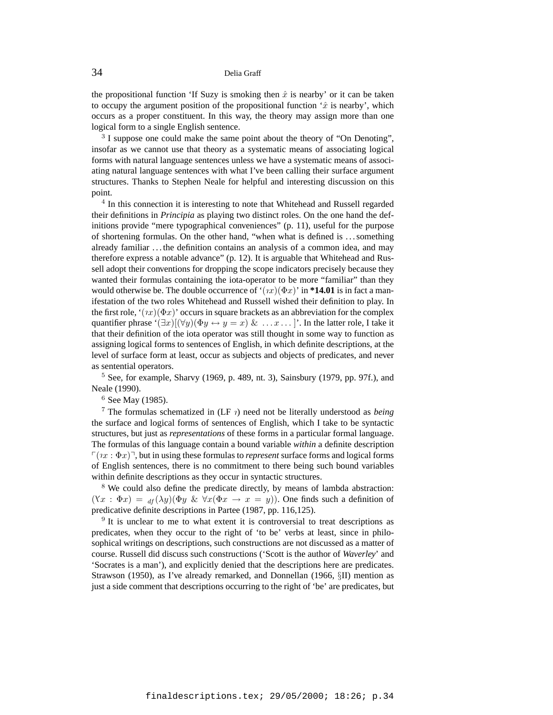the propositional function 'If Suzy is smoking then  $\hat{x}$  is nearby' or it can be taken to occupy the argument position of the propositional function ' $\hat{x}$  is nearby', which occurs as a proper constituent. In this way, the theory may assign more than one logical form to a single English sentence.

<sup>3</sup> I suppose one could make the same point about the theory of "On Denoting", insofar as we cannot use that theory as a systematic means of associating logical forms with natural language sentences unless we have a systematic means of associating natural language sentences with what I've been calling their surface argument structures. Thanks to Stephen Neale for helpful and interesting discussion on this point.

<sup>4</sup> In this connection it is interesting to note that Whitehead and Russell regarded their definitions in *Principia* as playing two distinct roles. On the one hand the definitions provide "mere typographical conveniences" (p. 11), useful for the purpose of shortening formulas. On the other hand, "when what is defined is . . . something already familiar . . . the definition contains an analysis of a common idea, and may therefore express a notable advance" (p. 12). It is arguable that Whitehead and Russell adopt their conventions for dropping the scope indicators precisely because they wanted their formulas containing the iota-operator to be more "familiar" than they would otherwise be. The double occurrence of  $\mathcal{L}(nx)(\Phi x)$  in \*14.01 is in fact a manifestation of the two roles Whitehead and Russell wished their definition to play. In the first role, ' $(x)(\Phi x)$ ' occurs in square brackets as an abbreviation for the complex quantifier phrase ' $(\exists x)[(\forall y)(\Phi y \leftrightarrow y = x) \& \dots x \dots$  ]'. In the latter role, I take it that their definition of the iota operator was still thought in some way to function as assigning logical forms to sentences of English, in which definite descriptions, at the level of surface form at least, occur as subjects and objects of predicates, and never as sentential operators.

 $5$  See, for example, Sharvy (1969, p. 489, nt. 3), Sainsbury (1979, pp. 97f.), and Neale (1990).

<sup>6</sup> See May (1985).

<sup>7</sup> The formulas schematized in  $(LF \, \eta)$  need not be literally understood as *being* the surface and logical forms of sentences of English, which I take to be syntactic structures, but just as *representations* of these forms in a particular formal language. The formulas of this language contain a bound variable *within* a definite description  $\lceil (nx : \Phi x) \rceil$ , but in using these formulas to *represent* surface forms and logical forms of English sentences, there is no commitment to there being such bound variables within definite descriptions as they occur in syntactic structures.

<sup>8</sup> We could also define the predicate directly, by means of lambda abstraction:  $(\forall x : \Phi x) =_{df} (\lambda y) (\Phi y \& \forall x (\Phi x \rightarrow x = y))$ . One finds such a definition of predicative definite descriptions in Partee (1987, pp. 116,125).

 $9$  It is unclear to me to what extent it is controversial to treat descriptions as predicates, when they occur to the right of 'to be' verbs at least, since in philosophical writings on descriptions, such constructions are not discussed as a matter of course. Russell did discuss such constructions ('Scott is the author of *Waverley*' and 'Socrates is a man'), and explicitly denied that the descriptions here are predicates. Strawson (1950), as I've already remarked, and Donnellan (1966, §II) mention as just a side comment that descriptions occurring to the right of 'be' are predicates, but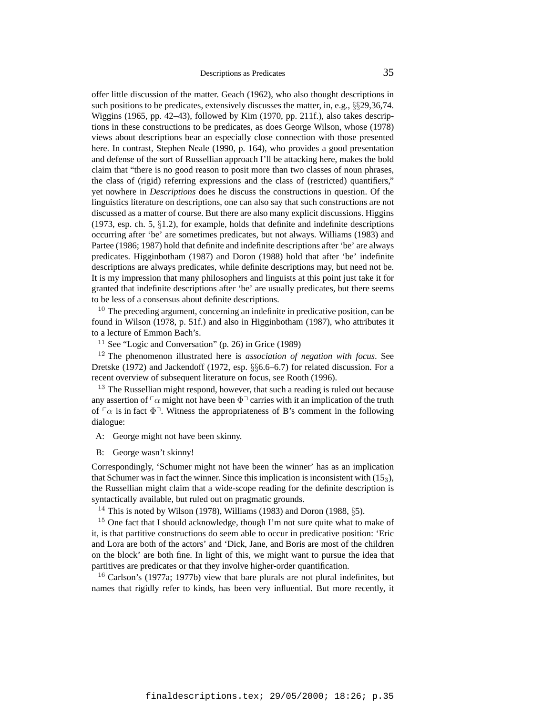offer little discussion of the matter. Geach (1962), who also thought descriptions in such positions to be predicates, extensively discusses the matter, in, e.g., §§29,36,74. Wiggins (1965, pp. 42–43), followed by Kim (1970, pp. 211f.), also takes descriptions in these constructions to be predicates, as does George Wilson, whose (1978) views about descriptions bear an especially close connection with those presented here. In contrast, Stephen Neale (1990, p. 164), who provides a good presentation and defense of the sort of Russellian approach I'll be attacking here, makes the bold claim that "there is no good reason to posit more than two classes of noun phrases, the class of (rigid) referring expressions and the class of (restricted) quantifiers," yet nowhere in *Descriptions* does he discuss the constructions in question. Of the linguistics literature on descriptions, one can also say that such constructions are not discussed as a matter of course. But there are also many explicit discussions. Higgins (1973, esp. ch. 5, §1.2), for example, holds that definite and indefinite descriptions occurring after 'be' are sometimes predicates, but not always. Williams (1983) and Partee (1986; 1987) hold that definite and indefinite descriptions after 'be' are always predicates. Higginbotham (1987) and Doron (1988) hold that after 'be' indefinite descriptions are always predicates, while definite descriptions may, but need not be. It is my impression that many philosophers and linguists at this point just take it for granted that indefinite descriptions after 'be' are usually predicates, but there seems to be less of a consensus about definite descriptions.

 $10$  The preceding argument, concerning an indefinite in predicative position, can be found in Wilson (1978, p. 51f.) and also in Higginbotham (1987), who attributes it to a lecture of Emmon Bach's.

<sup>11</sup> See "Logic and Conversation" (p. 26) in Grice (1989)

<sup>12</sup> The phenomenon illustrated here is *association of negation with focus*. See Dretske (1972) and Jackendoff (1972, esp. §§6.6–6.7) for related discussion. For a recent overview of subsequent literature on focus, see Rooth (1996).

<sup>13</sup> The Russellian might respond, however, that such a reading is ruled out because any assertion of  $\lceil \alpha \rceil$  might not have been  $\Phi \urcorner$  carries with it an implication of the truth of  $\lceil \alpha \rceil$  is in fact  $\Phi$ <sup>-</sup>. Witness the appropriateness of B's comment in the following dialogue:

A: George might not have been skinny.

B: George wasn't skinny!

Correspondingly, 'Schumer might not have been the winner' has as an implication that Schumer was in fact the winner. Since this implication is inconsistent with  $(15<sub>3</sub>)$ , the Russellian might claim that a wide-scope reading for the definite description is syntactically available, but ruled out on pragmatic grounds.

<sup>14</sup> This is noted by Wilson (1978), Williams (1983) and Doron (1988,  $\S$ 5).

<sup>15</sup> One fact that I should acknowledge, though I'm not sure quite what to make of it, is that partitive constructions do seem able to occur in predicative position: 'Eric and Lora are both of the actors' and 'Dick, Jane, and Boris are most of the children on the block' are both fine. In light of this, we might want to pursue the idea that partitives are predicates or that they involve higher-order quantification.

<sup>16</sup> Carlson's (1977a; 1977b) view that bare plurals are not plural indefinites, but names that rigidly refer to kinds, has been very influential. But more recently, it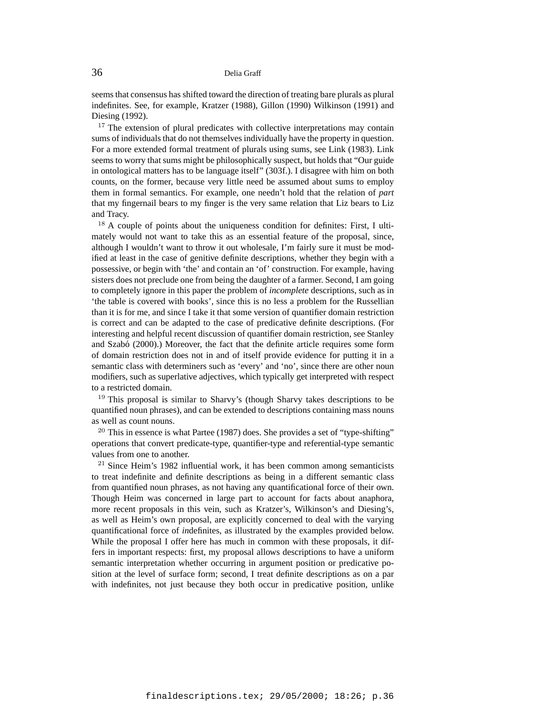seems that consensus has shifted toward the direction of treating bare plurals as plural indefinites. See, for example, Kratzer (1988), Gillon (1990) Wilkinson (1991) and Diesing (1992).

<sup>17</sup> The extension of plural predicates with collective interpretations may contain sums of individuals that do not themselves individually have the property in question. For a more extended formal treatment of plurals using sums, see Link (1983). Link seems to worry that sums might be philosophically suspect, but holds that "Our guide in ontological matters has to be language itself" (303f.). I disagree with him on both counts, on the former, because very little need be assumed about sums to employ them in formal semantics. For example, one needn't hold that the relation of *part* that my fingernail bears to my finger is the very same relation that Liz bears to Liz and Tracy.

<sup>18</sup> A couple of points about the uniqueness condition for definites: First, I ultimately would not want to take this as an essential feature of the proposal, since, although I wouldn't want to throw it out wholesale, I'm fairly sure it must be modified at least in the case of genitive definite descriptions, whether they begin with a possessive, or begin with 'the' and contain an 'of' construction. For example, having sisters does not preclude one from being the daughter of a farmer. Second, I am going to completely ignore in this paper the problem of *incomplete* descriptions, such as in 'the table is covered with books', since this is no less a problem for the Russellian than it is for me, and since I take it that some version of quantifier domain restriction is correct and can be adapted to the case of predicative definite descriptions. (For interesting and helpful recent discussion of quantifier domain restriction, see Stanley and Szabó (2000).) Moreover, the fact that the definite article requires some form of domain restriction does not in and of itself provide evidence for putting it in a semantic class with determiners such as 'every' and 'no', since there are other noun modifiers, such as superlative adjectives, which typically get interpreted with respect to a restricted domain.

<sup>19</sup> This proposal is similar to Sharvy's (though Sharvy takes descriptions to be quantified noun phrases), and can be extended to descriptions containing mass nouns as well as count nouns.

 $20$  This in essence is what Partee (1987) does. She provides a set of "type-shifting" operations that convert predicate-type, quantifier-type and referential-type semantic values from one to another.

 $21$  Since Heim's 1982 influential work, it has been common among semanticists to treat indefinite and definite descriptions as being in a different semantic class from quantified noun phrases, as not having any quantificational force of their own. Though Heim was concerned in large part to account for facts about anaphora, more recent proposals in this vein, such as Kratzer's, Wilkinson's and Diesing's, as well as Heim's own proposal, are explicitly concerned to deal with the varying quantificational force of *in*definites, as illustrated by the examples provided below. While the proposal I offer here has much in common with these proposals, it differs in important respects: first, my proposal allows descriptions to have a uniform semantic interpretation whether occurring in argument position or predicative position at the level of surface form; second, I treat definite descriptions as on a par with indefinites, not just because they both occur in predicative position, unlike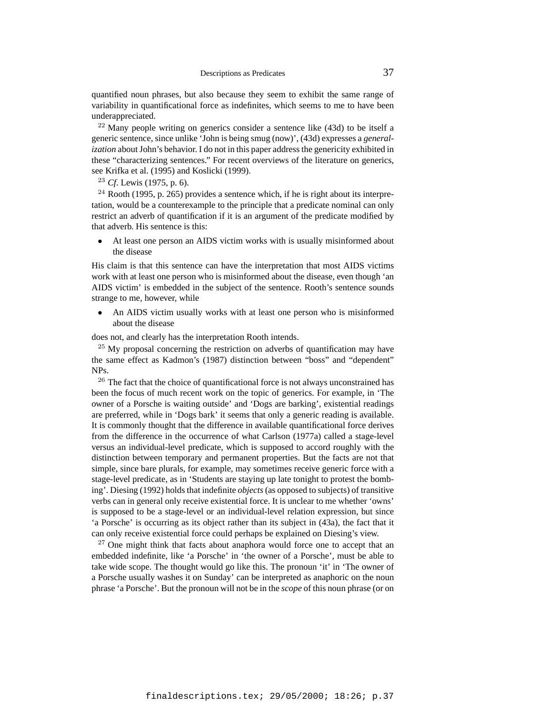quantified noun phrases, but also because they seem to exhibit the same range of variability in quantificational force as indefinites, which seems to me to have been underappreciated.

 $22$  Many people writing on generics consider a sentence like (43d) to be itself a generic sentence, since unlike 'John is being smug (now)', (43d) expresses a *generalization* about John's behavior. I do not in this paper address the genericity exhibited in these "characterizing sentences." For recent overviews of the literature on generics, see Krifka et al. (1995) and Koslicki (1999).

<sup>23</sup> *Cf*. Lewis (1975, p. 6).

 $24$  Rooth (1995, p. 265) provides a sentence which, if he is right about its interpretation, would be a counterexample to the principle that a predicate nominal can only restrict an adverb of quantification if it is an argument of the predicate modified by that adverb. His sentence is this:

At least one person an AIDS victim works with is usually misinformed about the disease

His claim is that this sentence can have the interpretation that most AIDS victims work with at least one person who is misinformed about the disease, even though 'an AIDS victim' is embedded in the subject of the sentence. Rooth's sentence sounds strange to me, however, while

• An AIDS victim usually works with at least one person who is misinformed about the disease

does not, and clearly has the interpretation Rooth intends.

 $25$  My proposal concerning the restriction on adverbs of quantification may have the same effect as Kadmon's (1987) distinction between "boss" and "dependent" NPs.

<sup>26</sup> The fact that the choice of quantificational force is not always unconstrained has been the focus of much recent work on the topic of generics. For example, in 'The owner of a Porsche is waiting outside' and 'Dogs are barking', existential readings are preferred, while in 'Dogs bark' it seems that only a generic reading is available. It is commonly thought that the difference in available quantificational force derives from the difference in the occurrence of what Carlson (1977a) called a stage-level versus an individual-level predicate, which is supposed to accord roughly with the distinction between temporary and permanent properties. But the facts are not that simple, since bare plurals, for example, may sometimes receive generic force with a stage-level predicate, as in 'Students are staying up late tonight to protest the bombing'. Diesing (1992) holds that indefinite *objects* (as opposed to subjects) of transitive verbs can in general only receive existential force. It is unclear to me whether 'owns' is supposed to be a stage-level or an individual-level relation expression, but since 'a Porsche' is occurring as its object rather than its subject in (43a), the fact that it can only receive existential force could perhaps be explained on Diesing's view.

 $27$  One might think that facts about anaphora would force one to accept that an embedded indefinite, like 'a Porsche' in 'the owner of a Porsche', must be able to take wide scope. The thought would go like this. The pronoun 'it' in 'The owner of a Porsche usually washes it on Sunday' can be interpreted as anaphoric on the noun phrase 'a Porsche'. But the pronoun will not be in the *scope* of this noun phrase (or on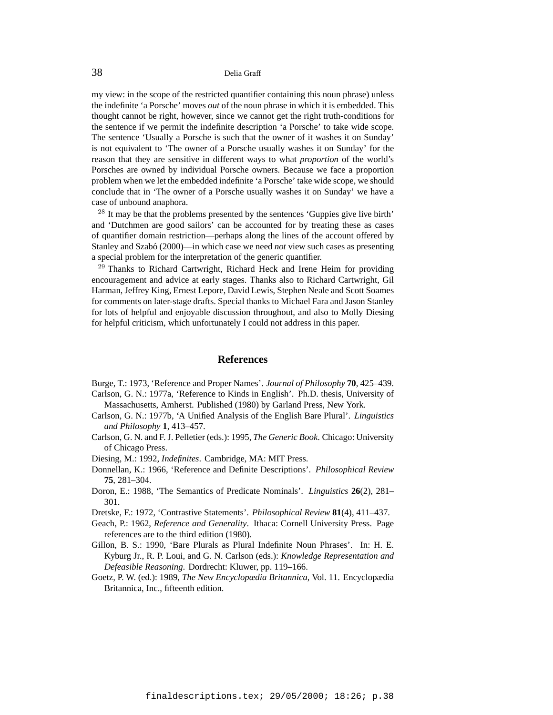my view: in the scope of the restricted quantifier containing this noun phrase) unless the indefinite 'a Porsche' moves *out* of the noun phrase in which it is embedded. This thought cannot be right, however, since we cannot get the right truth-conditions for the sentence if we permit the indefinite description 'a Porsche' to take wide scope. The sentence 'Usually a Porsche is such that the owner of it washes it on Sunday' is not equivalent to 'The owner of a Porsche usually washes it on Sunday' for the reason that they are sensitive in different ways to what *proportion* of the world's Porsches are owned by individual Porsche owners. Because we face a proportion problem when we let the embedded indefinite 'a Porsche' take wide scope, we should conclude that in 'The owner of a Porsche usually washes it on Sunday' we have a case of unbound anaphora.

<sup>28</sup> It may be that the problems presented by the sentences 'Guppies give live birth' and 'Dutchmen are good sailors' can be accounted for by treating these as cases of quantifier domain restriction—perhaps along the lines of the account offered by Stanley and Szabó (2000)—in which case we need *not* view such cases as presenting a special problem for the interpretation of the generic quantifier.

<sup>29</sup> Thanks to Richard Cartwright, Richard Heck and Irene Heim for providing encouragement and advice at early stages. Thanks also to Richard Cartwright, Gil Harman, Jeffrey King, Ernest Lepore, David Lewis, Stephen Neale and Scott Soames for comments on later-stage drafts. Special thanks to Michael Fara and Jason Stanley for lots of helpful and enjoyable discussion throughout, and also to Molly Diesing for helpful criticism, which unfortunately I could not address in this paper.

#### **References**

Burge, T.: 1973, 'Reference and Proper Names'. *Journal of Philosophy* **70**, 425–439. Carlson, G. N.: 1977a, 'Reference to Kinds in English'. Ph.D. thesis, University of

- Massachusetts, Amherst. Published (1980) by Garland Press, New York.
- Carlson, G. N.: 1977b, 'A Unified Analysis of the English Bare Plural'. *Linguistics and Philosophy* **1**, 413–457.
- Carlson, G. N. and F. J. Pelletier (eds.): 1995, *The Generic Book*. Chicago: University of Chicago Press.
- Diesing, M.: 1992, *Indefinites*. Cambridge, MA: MIT Press.
- Donnellan, K.: 1966, 'Reference and Definite Descriptions'. *Philosophical Review* **75**, 281–304.
- Doron, E.: 1988, 'The Semantics of Predicate Nominals'. *Linguistics* **26**(2), 281– 301.
- Dretske, F.: 1972, 'Contrastive Statements'. *Philosophical Review* **81**(4), 411–437.
- Geach, P.: 1962, *Reference and Generality*. Ithaca: Cornell University Press. Page references are to the third edition (1980).
- Gillon, B. S.: 1990, 'Bare Plurals as Plural Indefinite Noun Phrases'. In: H. E. Kyburg Jr., R. P. Loui, and G. N. Carlson (eds.): *Knowledge Representation and Defeasible Reasoning*. Dordrecht: Kluwer, pp. 119–166.
- Goetz, P. W. (ed.): 1989, *The New Encyclopædia Britannica*, Vol. 11. Encyclopædia Britannica, Inc., fifteenth edition.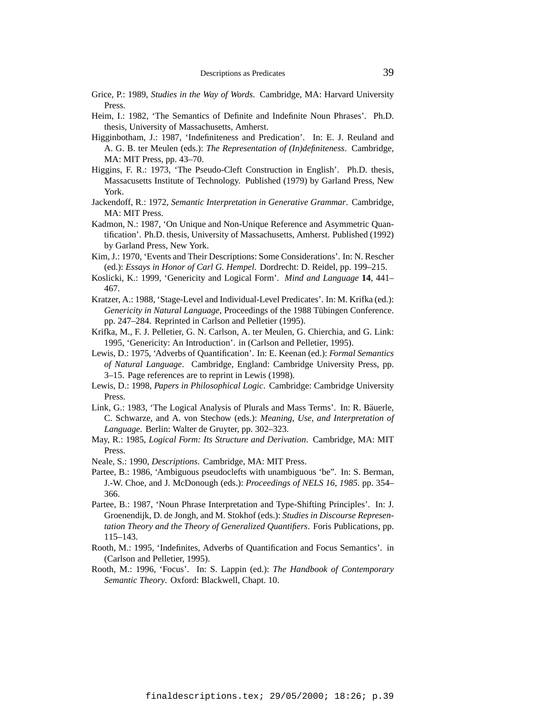- Grice, P.: 1989, *Studies in the Way of Words*. Cambridge, MA: Harvard University Press.
- Heim, I.: 1982, 'The Semantics of Definite and Indefinite Noun Phrases'. Ph.D. thesis, University of Massachusetts, Amherst.
- Higginbotham, J.: 1987, 'Indefiniteness and Predication'. In: E. J. Reuland and A. G. B. ter Meulen (eds.): *The Representation of (In)definiteness*. Cambridge, MA: MIT Press, pp. 43–70.
- Higgins, F. R.: 1973, 'The Pseudo-Cleft Construction in English'. Ph.D. thesis, Massacusetts Institute of Technology. Published (1979) by Garland Press, New York.
- Jackendoff, R.: 1972, *Semantic Interpretation in Generative Grammar*. Cambridge, MA: MIT Press.
- Kadmon, N.: 1987, 'On Unique and Non-Unique Reference and Asymmetric Quantification'. Ph.D. thesis, University of Massachusetts, Amherst. Published (1992) by Garland Press, New York.
- Kim, J.: 1970, 'Events and Their Descriptions: Some Considerations'. In: N. Rescher (ed.): *Essays in Honor of Carl G. Hempel*. Dordrecht: D. Reidel, pp. 199–215.
- Koslicki, K.: 1999, 'Genericity and Logical Form'. *Mind and Language* **14**, 441– 467.
- Kratzer, A.: 1988, 'Stage-Level and Individual-Level Predicates'. In: M. Krifka (ed.): *Genericity in Natural Language*, Proceedings of the 1988 Tübingen Conference. pp. 247–284. Reprinted in Carlson and Pelletier (1995).
- Krifka, M., F. J. Pelletier, G. N. Carlson, A. ter Meulen, G. Chierchia, and G. Link: 1995, 'Genericity: An Introduction'. in (Carlson and Pelletier, 1995).
- Lewis, D.: 1975, 'Adverbs of Quantification'. In: E. Keenan (ed.): *Formal Semantics of Natural Language*. Cambridge, England: Cambridge University Press, pp. 3–15. Page references are to reprint in Lewis (1998).
- Lewis, D.: 1998, *Papers in Philosophical Logic*. Cambridge: Cambridge University Press.
- Link, G.: 1983, 'The Logical Analysis of Plurals and Mass Terms'. In: R. Bäuerle, C. Schwarze, and A. von Stechow (eds.): *Meaning, Use, and Interpretation of Language*. Berlin: Walter de Gruyter, pp. 302–323.
- May, R.: 1985, *Logical Form: Its Structure and Derivation*. Cambridge, MA: MIT Press.
- Neale, S.: 1990, *Descriptions*. Cambridge, MA: MIT Press.
- Partee, B.: 1986, 'Ambiguous pseudoclefts with unambiguous 'be". In: S. Berman, J.-W. Choe, and J. McDonough (eds.): *Proceedings of NELS 16, 1985*. pp. 354– 366.
- Partee, B.: 1987, 'Noun Phrase Interpretation and Type-Shifting Principles'. In: J. Groenendijk, D. de Jongh, and M. Stokhof (eds.): *Studies in Discourse Representation Theory and the Theory of Generalized Quantifiers*. Foris Publications, pp. 115–143.
- Rooth, M.: 1995, 'Indefinites, Adverbs of Quantification and Focus Semantics'. in (Carlson and Pelletier, 1995).
- Rooth, M.: 1996, 'Focus'. In: S. Lappin (ed.): *The Handbook of Contemporary Semantic Theory*. Oxford: Blackwell, Chapt. 10.